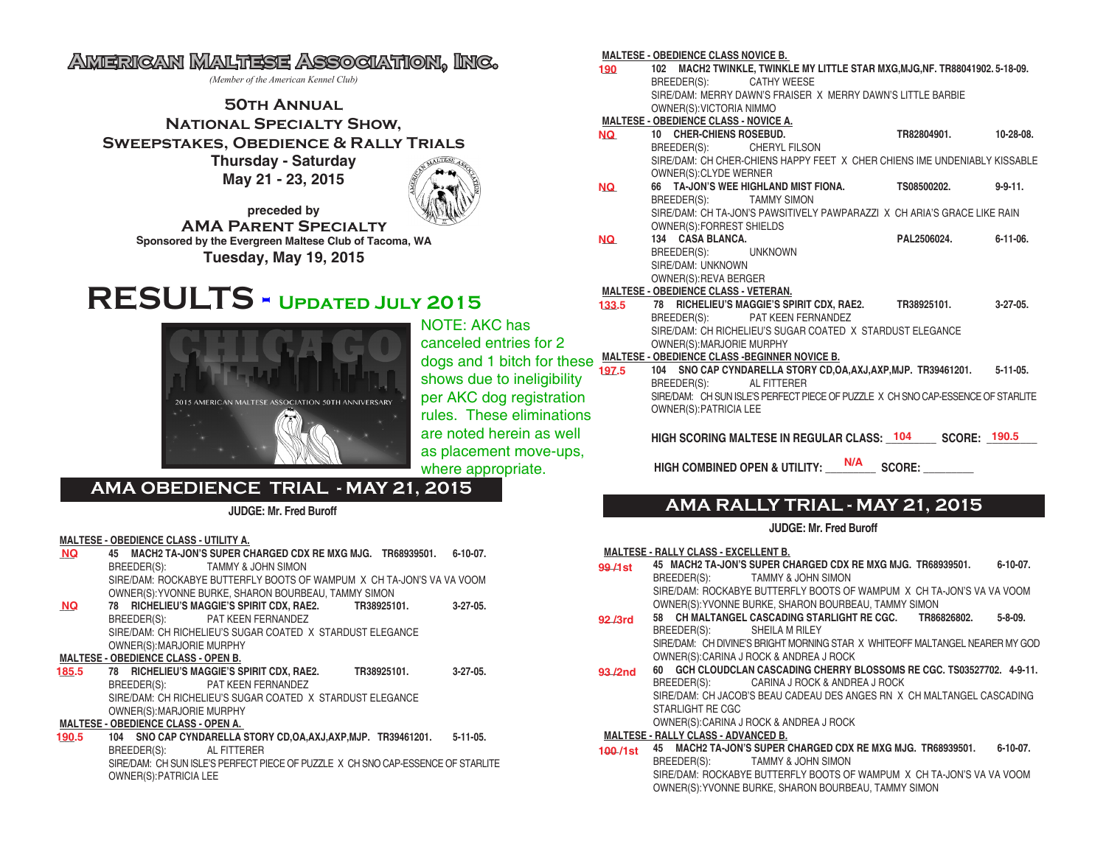# **American Maltese Association, Inc.**

*(Member of the American Kennel Club)*

## **50th Annual National Specialty Show, Sweepstakes, Obedience & Rally Trials**

**Thursday - Saturday May 21 - 23, 2015**



**preceded by AMA Parent Specialty Sponsored by the Evergreen Maltese Club of Tacoma, WA Tuesday, May 19, 2015**

# **RESULTS - Updated July 2015**



NOTE: AKC has canceled entries for 2 shows due to ineligibility per AKC dog registration rules. These eliminations are noted herein as well as placement move-ups, where appropriate.

## **AMA OBEDIENCE TRIAL - MAY 21, 2015**

**JUDGE: Mr. Fred Buroff**

#### **MALTESE - OBEDIENCE CLASS - UTILITY A.**

- **\_\_\_ 45 MACH2 TA-JON'S SUPER CHARGED CDX RE MXG MJG. TR68939501. 6-10-07.** BREEDER(S): TAMMY & JOHN SIMON SIRE/DAM: ROCKABYE BUTTERFLY BOOTS OF WAMPUM X CH TA-JON'S VA VA VOOM OWNER(S):YVONNE BURKE, SHARON BOURBEAU, TAMMY SIMON **\_\_\_ 78 RICHELIEU'S MAGGIE'S SPIRIT CDX, RAE2. TR38925101. 3-27-05.** BREEDER(S): PAT KEEN FERNANDEZ SIRE/DAM: CH RICHELIEU'S SUGAR COATED X STARDUST ELEGANCE OWNER(S):MARJORIE MURPHY **MALTESE - OBEDIENCE CLASS - OPEN B. \_\_\_ 78 RICHELIEU'S MAGGIE'S SPIRIT CDX, RAE2. TR38925101. 3-27-05.** BREEDER(S): PAT KEEN FERNANDEZ SIRE/DAM: CH RICHELIEU'S SUGAR COATED X STARDUST ELEGANCE OWNER(S):MARJORIE MURPHY **MALTESE - OBEDIENCE CLASS - OPEN A. NQ NQ 185.5**
- **\_\_\_ 104 SNO CAP CYNDARELLA STORY CD,OA,AXJ,AXP,MJP. TR39461201. 5-11-05.** BREEDER(S): AL FITTERER SIRE/DAM: CH SUN ISLE'S PERFECT PIECE OF PUZZLE X CH SNO CAP-ESSENCE OF STARLITE OWNER(S):PATRICIA LEE **190.5**

#### **MALTESE - OBEDIENCE CLASS NOVICE B.**

**\_\_\_ 102 MACH2 TWINKLE, TWINKLE MY LITTLE STAR MXG,MJG,NF. TR88041902. 5-18-09.** BREEDER(S): CATHY WEESE SIRE/DAM: MERRY DAWN'S FRAISER X MERRY DAWN'S LITTLE BARBIE OWNER(S):VICTORIA NIMMO **MALTESE - OBEDIENCE CLASS - NOVICE A. \_\_\_ 10 CHER-CHIENS ROSEBUD. TR82804901. 10-28-08.** BREEDER(S): CHERYL FILSON SIRE/DAM: CH CHER-CHIENS HAPPY FEET X CHER CHIENS IME UNDENIABLY KISSABLE OWNER(S):CLYDE WERNER **\_\_\_ 66 TA-JON'S WEE HIGHLAND MIST FIONA. TS08500202. 9-9-11.** BREEDER(S): TAMMY SIMON SIRE/DAM: CH TA-JON'S PAWSITIVELY PAWPARAZZI X CH ARIA'S GRACE LIKE RAIN OWNER(S):FORREST SHIELDS **\_\_\_ 134 CASA BLANCA. PAL2506024. 6-11-06.** BREEDER(S): UNKNOWN SIRE/DAM: UNKNOWN OWNER(S):REVA BERGER **MALTESE - OBEDIENCE CLASS - VETERAN. \_\_\_ 78 RICHELIEU'S MAGGIE'S SPIRIT CDX, RAE2. TR38925101. 3-27-05.** BREEDER(S): PAT KEEN FERNANDEZ SIRE/DAM: CH RICHELIEU'S SUGAR COATED X STARDUST ELEGANCE OWNER(S):MARJORIE MURPHY dogs and 1 bitch for these MALTESE - OBEDIENCE CLASS -BEGINNER NOVICE B.<br>1944 - SNO CAB CAB CAB CAB CAB CAB CAB PLACED KOPPY OF C **\_\_\_ 104 SNO CAP CYNDARELLA STORY CD,OA,AXJ,AXP,MJP. TR39461201. 5-11-05.** BREEDER(S): AL FITTERER SIRE/DAM: CH SUN ISLE'S PERFECT PIECE OF PUZZLE X CH SNO CAP-ESSENCE OF STARLITE **190 NQ NQ NQ 133.5 197.5**

HIGH SCORING MALTESE IN REGULAR CLASS:  $104$  SCORE:  $190.5$ 

 **HIGH COMBINED OPEN & UTILITY: \_\_\_\_\_\_\_\_\_ SCORE: \_\_\_\_\_\_\_\_\_ N/A**

## **AMA RALLY TRIAL - MAY 21, 2015**

## **JUDGE: Mr. Fred Buroff**

**MALTESE - RALLY CLASS - EXCELLENT B.**

OWNER(S):PATRICIA LEE

- **\_\_\_ 45 MACH2 TA-JON'S SUPER CHARGED CDX RE MXG MJG. TR68939501. 6-10-07.** BREEDER(S): TAMMY & JOHN SIMON SIRE/DAM: ROCKABYE BUTTERFLY BOOTS OF WAMPUM X CH TA-JON'S VA VA VOOM OWNER(S):YVONNE BURKE, SHARON BOURBEAU, TAMMY SIMON **\_\_\_ 58 CH MALTANGEL CASCADING STARLIGHT RE CGC. TR86826802. 5-8-09.** BREEDER(S): SHEILA M RILEY SIRE/DAM: CH DIVINE'S BRIGHT MORNING STAR X WHITEOFF MALTANGEL NEARER MY GOD OWNER(S):CARINA J ROCK & ANDREA J ROCK **\_\_\_ 60 GCH CLOUDCLAN CASCADING CHERRY BLOSSOMS RE CGC. TS03527702. 4-9-11.** BREEDER(S): CARINA J ROCK & ANDREA J ROCK SIRE/DAM: CH JACOB'S BEAU CADEAU DES ANGES RN X CH MALTANGEL CASCADING STARLIGHT RE CGC OWNER(S):CARINA J ROCK & ANDREA J ROCK **MALTESE - RALLY CLASS - ADVANCED B. 99 /1st 92 /3rd 93 /2nd**
- **\_\_\_ 45 MACH2 TA-JON'S SUPER CHARGED CDX RE MXG MJG. TR68939501. 6-10-07.** BREEDER(S): TAMMY & JOHN SIMON SIRE/DAM: ROCKABYE BUTTERFLY BOOTS OF WAMPUM X CH TA-JON'S VA VA VOOM OWNER(S):YVONNE BURKE, SHARON BOURBEAU, TAMMY SIMON **100 /1st**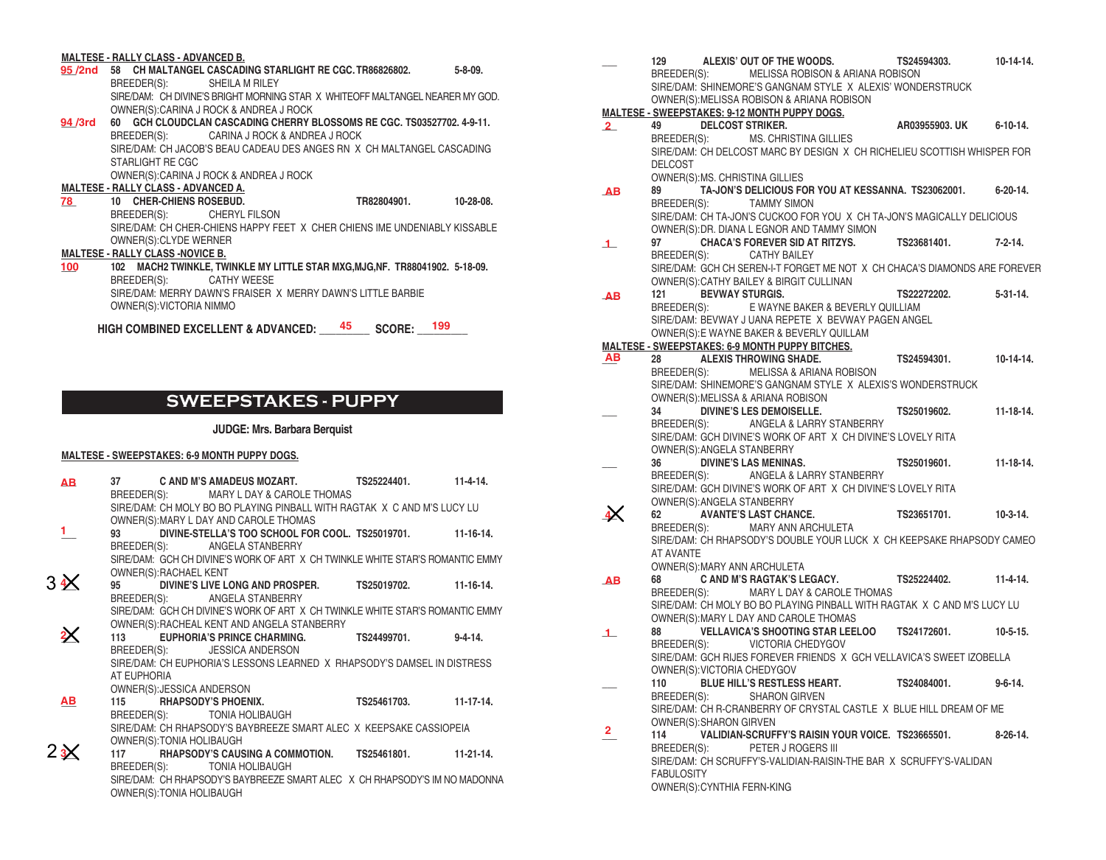#### **MALTESE - RALLY CLASS - ADVANCED B.**

- **\_\_\_ 58 CH MALTANGEL CASCADING STARLIGHT RE CGC. TR86826802. 5-8-09. 95 /2nd** BREEDER(S): SHEILA M RILEY SIRE/DAM: CH DIVINE'S BRIGHT MORNING STAR X WHITEOFF MALTANGEL NEARER MY GOD. OWNER(S):CARINA J ROCK & ANDREA J ROCK
- **\_\_\_ 60 GCH CLOUDCLAN CASCADING CHERRY BLOSSOMS RE CGC. TS03527702. 4-9-11. 94 /3rd** BREEDER(S): CARINA J ROCK & ANDREA J ROCK SIRE/DAM: CH JACOB'S BEAU CADEAU DES ANGES RN X CH MALTANGEL CASCADING STARLIGHT RE CGC OWNER(S):CARINA J ROCK & ANDREA J ROCK

## **MALTESE - RALLY CLASS - ADVANCED A.**

**\_\_\_ 10 CHER-CHIENS ROSEBUD. TR82804901. 10-28-08.** BREEDER(S): CHERYL FILSON SIRE/DAM: CH CHER-CHIENS HAPPY FEET X CHER CHIENS IME UNDENIABLY KISSABLE OWNER(S):CLYDE WERNER **78** 

## **MALTESE - RALLY CLASS -NOVICE B.**

**\_\_\_ 102 MACH2 TWINKLE, TWINKLE MY LITTLE STAR MXG,MJG,NF. TR88041902. 5-18-09.** BREEDER(S): CATHY WEESE SIRE/DAM: MERRY DAWN'S FRAISER X MERRY DAWN'S LITTLE BARBIE OWNER(S):VICTORIA NIMMO **100**

HIGH COMBINED EXCELLENT & ADVANCED: \_\_\_\_<sup>45</sup> \_\_\_\_ SCORE: \_\_\_<sup>199</sup> \_\_\_

## **SWEEPSTAKES - PUPPY**

## **JUDGE: Mrs. Barbara Berquist**

## **MALTESE - SWEEPSTAKES: 6-9 MONTH PUPPY DOGS.**

| AB.            |             |                            | 37 C AND M'S AMADEUS MOZART. TS25224401. 11-4-14.<br>BREEDER(S): MARY L DAY & CAROLE THOMAS |  |  |
|----------------|-------------|----------------------------|---------------------------------------------------------------------------------------------|--|--|
|                |             |                            | SIRE/DAM: CH MOLY BO BO PLAYING PINBALL WITH RAGTAK X C AND M'S LUCY LU                     |  |  |
|                |             |                            | OWNER(S): MARY L DAY AND CAROLE THOMAS                                                      |  |  |
| $\mathbf{1}$   |             |                            | 93 DIVINE-STELLA'S TOO SCHOOL FOR COOL. TS25019701. 11-16-14.                               |  |  |
|                |             | BREEDER(S):                | ANGELA STANBERRY                                                                            |  |  |
|                |             |                            | SIRE/DAM: GCH CH DIVINE'S WORK OF ART X CH TWINKLE WHITE STAR'S ROMANTIC EMMY               |  |  |
|                |             | OWNER(S): RACHAEL KENT     |                                                                                             |  |  |
| 34<            |             |                            | 95 DIVINE'S LIVE LONG AND PROSPER. TS25019702. 11-16-14.                                    |  |  |
|                |             |                            | BREEDER(S): ANGELA STANBERRY                                                                |  |  |
|                |             |                            | SIRE/DAM: GCH CH DIVINE'S WORK OF ART X CH TWINKLE WHITE STAR'S ROMANTIC EMMY               |  |  |
|                |             |                            | OWNER(S): RACHEAL KENT AND ANGELA STANBERRY                                                 |  |  |
| $2\leq$        | 113         |                            | EUPHORIA'S PRINCE CHARMING. TS24499701. 9-4-14.                                             |  |  |
|                |             |                            | BREEDER(S): JESSICA ANDERSON                                                                |  |  |
|                |             |                            | SIRE/DAM: CH EUPHORIA'S LESSONS LEARNED X RHAPSODY'S DAMSEL IN DISTRESS                     |  |  |
|                | AT EUPHORIA |                            |                                                                                             |  |  |
|                |             | OWNER(S): JESSICA ANDERSON |                                                                                             |  |  |
| AВ             |             |                            | 115 RHAPSODY'S PHOENIX. TS25461703. 11-17-14.                                               |  |  |
|                |             |                            | BREEDER(S): TONIA HOLIBAUGH                                                                 |  |  |
|                |             |                            | SIRE/DAM: CH RHAPSODY'S BAYBREEZE SMART ALEC X KEEPSAKE CASSIOPEIA                          |  |  |
|                |             |                            |                                                                                             |  |  |
| $2\frac{3}{2}$ |             | OWNER(S): TONIA HOLIBAUGH  |                                                                                             |  |  |
|                |             |                            | 117 RHAPSODY'S CAUSING A COMMOTION. TS25461801. 11-21-14.                                   |  |  |
|                |             |                            | BREEDER(S): TONIA HOLIBAUGH                                                                 |  |  |
|                |             |                            | SIRE/DAM: CH RHAPSODY'S BAYBREEZE SMART ALEC X CH RHAPSODY'S IM NO MADONNA                  |  |  |
|                |             | OWNER(S): TONIA HOLIBAUGH  |                                                                                             |  |  |

|              | ALEXIS' OUT OF THE WOODS.<br>129                                           | TS24594303.        | 10-14-14.       |
|--------------|----------------------------------------------------------------------------|--------------------|-----------------|
|              | BREEDER(S): MELISSA ROBISON & ARIANA ROBISON                               |                    |                 |
|              | SIRE/DAM: SHINEMORE'S GANGNAM STYLE X ALEXIS' WONDERSTRUCK                 |                    |                 |
|              | OWNER(S): MELISSA ROBISON & ARIANA ROBISON                                 |                    |                 |
|              | <b>MALTESE - SWEEPSTAKES: 9-12 MONTH PUPPY DOGS.</b>                       |                    |                 |
| $\mathbf{2}$ | <b>DELCOST STRIKER.</b><br>49                                              | AR03955903. UK     | $6 - 10 - 14$ . |
|              | BREEDER(S): MS. CHRISTINA GILLIES                                          |                    |                 |
|              | SIRE/DAM: CH DELCOST MARC BY DESIGN X CH RICHELIEU SCOTTISH WHISPER FOR    |                    |                 |
|              | <b>DELCOST</b>                                                             |                    |                 |
|              | OWNER(S): MS. CHRISTINA GILLIES                                            |                    |                 |
| AB           | TA-JON'S DELICIOUS FOR YOU AT KESSANNA. TS23062001.<br>89                  |                    | $6 - 20 - 14$ . |
|              | BREEDER(S):<br><b>TAMMY SIMON</b>                                          |                    |                 |
|              | SIRE/DAM: CH TA-JON'S CUCKOO FOR YOU X CH TA-JON'S MAGICALLY DELICIOUS     |                    |                 |
|              | OWNER(S): DR. DIANA L EGNOR AND TAMMY SIMON                                |                    |                 |
| $\perp$      | 97<br><b>CHACA'S FOREVER SID AT RITZYS.</b>                                | TS23681401.        | $7 - 2 - 14$ .  |
|              | BREEDER(S): CATHY BAILEY                                                   |                    |                 |
|              | SIRE/DAM: GCH CH SEREN-I-T FORGET ME NOT X CH CHACA'S DIAMONDS ARE FOREVER |                    |                 |
|              | OWNER(S): CATHY BAILEY & BIRGIT CULLINAN                                   |                    |                 |
|              | <b>BEVWAY STURGIS.</b><br>121                                              | <b>TS22272202.</b> | $5 - 31 - 14$ . |
| AB           | E WAYNE BAKER & BEVERLY QUILLIAM<br>BREEDER(S):                            |                    |                 |
|              | SIRE/DAM: BEVWAY J UANA REPETE X BEVWAY PAGEN ANGEL                        |                    |                 |
|              |                                                                            |                    |                 |
|              | OWNER(S): E WAYNE BAKER & BEVERLY QUILLAM                                  |                    |                 |
|              | <b>MALTESE - SWEEPSTAKES: 6-9 MONTH PUPPY BITCHES.</b>                     |                    |                 |
| AВ           | <b>ALEXIS THROWING SHADE.</b><br>28                                        | TS24594301.        | $10-14-14.$     |
|              | BREEDER(S):<br><b>MELISSA &amp; ARIANA ROBISON</b>                         |                    |                 |
|              | SIRE/DAM: SHINEMORE'S GANGNAM STYLE X ALEXIS'S WONDERSTRUCK                |                    |                 |
|              | OWNER(S): MELISSA & ARIANA ROBISON                                         |                    |                 |
|              | <b>DIVINE'S LES DEMOISELLE.</b><br>34                                      | TS25019602.        | $11 - 18 - 14.$ |
|              | BREEDER(S):<br>ANGELA & LARRY STANBERRY                                    |                    |                 |
|              | SIRE/DAM: GCH DIVINE'S WORK OF ART X CH DIVINE'S LOVELY RITA               |                    |                 |
|              | OWNER(S): ANGELA STANBERRY                                                 |                    |                 |
|              | <b>DIVINE'S LAS MENINAS.</b><br>36                                         | TS25019601.        | $11 - 18 - 14.$ |
|              | BREEDER(S):<br>ANGELA & LARRY STANBERRY                                    |                    |                 |
|              | SIRE/DAM: GCH DIVINE'S WORK OF ART X CH DIVINE'S LOVELY RITA               |                    |                 |
|              | OWNER(S): ANGELA STANBERRY                                                 |                    |                 |
|              | <b>AVANTE'S LAST CHANCE.</b><br>62                                         | TS23651701.        | $10-3-14.$      |
|              | BREEDER(S):<br>MARY ANN ARCHULETA                                          |                    |                 |
|              | SIRE/DAM: CH RHAPSODY'S DOUBLE YOUR LUCK X CH KEEPSAKE RHAPSODY CAMEO      |                    |                 |
|              | AT AVANTE                                                                  |                    |                 |
|              | OWNER(S): MARY ANN ARCHULETA                                               |                    |                 |
| AB           | C AND M'S RAGTAK'S LEGACY.<br>68                                           | TS25224402.        | $11-4-14.$      |
|              | MARY L DAY & CAROLE THOMAS<br>BREEDER(S):                                  |                    |                 |
|              | SIRE/DAM: CH MOLY BO BO PLAYING PINBALL WITH RAGTAK X C AND M'S LUCY LU    |                    |                 |
|              | OWNER(S): MARY L DAY AND CAROLE THOMAS                                     |                    |                 |
| $\perp$      | VELLAVICA'S SHOOTING STAR LEELOO TS24172601.<br>88                         |                    | $10-5-15.$      |
|              | BREEDER(S): VICTORIA CHEDYGOV                                              |                    |                 |
|              | SIRE/DAM: GCH RIJES FOREVER FRIENDS X GCH VELLAVICA'S SWEET IZOBELLA       |                    |                 |
|              | OWNER(S): VICTORIA CHEDYGOV                                                |                    |                 |
|              | <b>BLUE HILL'S RESTLESS HEART.</b><br>110                                  | TS24084001.        | $9 - 6 - 14$ .  |
|              | BREEDER(S):<br><b>SHARON GIRVEN</b>                                        |                    |                 |
|              | SIRE/DAM: CH R-CRANBERRY OF CRYSTAL CASTLE X BLUE HILL DREAM OF ME         |                    |                 |
|              | OWNER(S): SHARON GIRVEN                                                    |                    |                 |
| 2.           | VALIDIAN-SCRUFFY'S RAISIN YOUR VOICE. TS23665501.<br>114                   |                    | $8-26-14.$      |
|              | PETER J ROGERS III                                                         |                    |                 |
|              | BREEDER(S):                                                                |                    |                 |
|              | SIRE/DAM: CH SCRUFFY'S-VALIDIAN-RAISIN-THE BAR X SCRUFFY'S-VALIDAN         |                    |                 |
|              | <b>FABULOSITY</b>                                                          |                    |                 |
|              | OWNER(S): CYNTHIA FERN-KING                                                |                    |                 |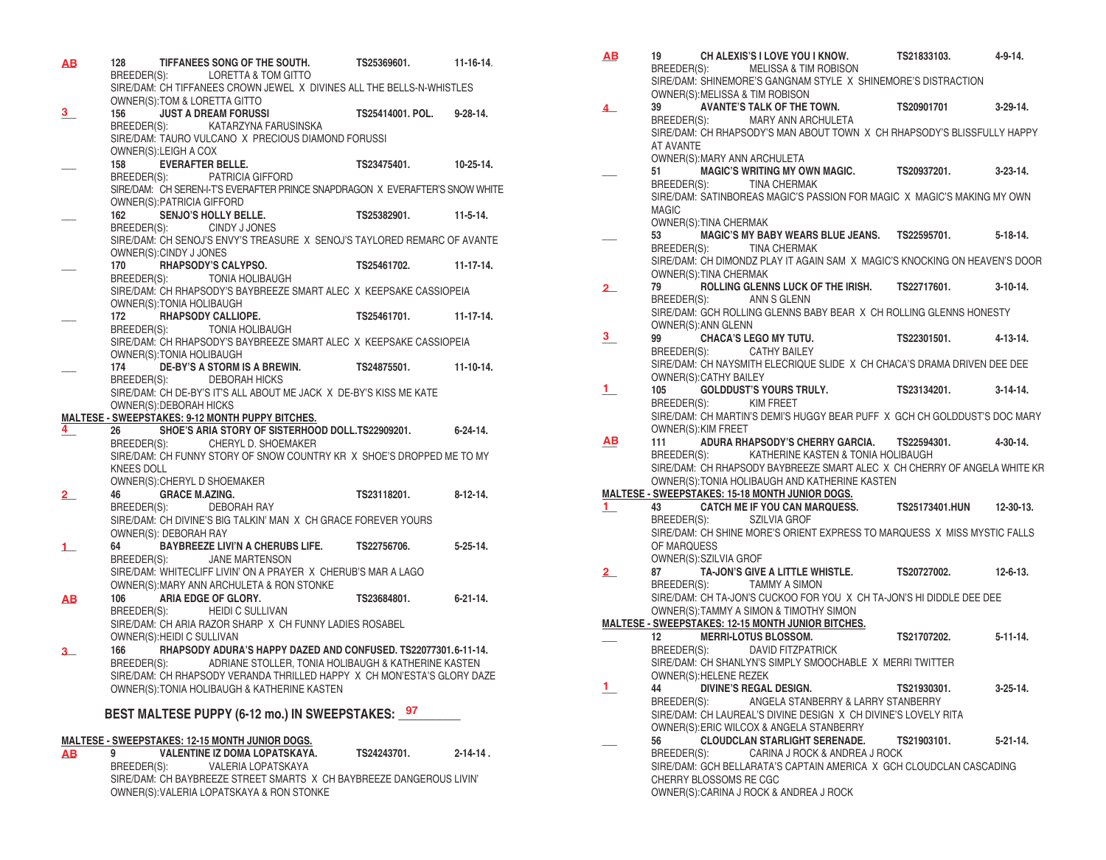| <u>AB</u>                   | 128         |                                                  | TIFFANEES SONG OF THE SOUTH.                                                                                          | TS25369601.          | $11 - 16 - 14$ . |
|-----------------------------|-------------|--------------------------------------------------|-----------------------------------------------------------------------------------------------------------------------|----------------------|------------------|
|                             |             |                                                  | BREEDER(S): LORETTA & TOM GITTO<br>SIRE/DAM: CH TIFFANEES CROWN JEWEL X DIVINES ALL THE BELLS-N-WHISTLES              |                      |                  |
|                             |             |                                                  | OWNER(S):TOM & LORETTA GITTO                                                                                          |                      |                  |
| 3.                          | 156 —       |                                                  | <b>JUST A DREAM FORUSSI</b>                                                                                           | TS25414001, POL.     | $9 - 28 - 14$ .  |
|                             |             |                                                  | BREEDER(S): KATARZYNA FARUSINSKA                                                                                      |                      |                  |
|                             |             |                                                  | SIRE/DAM: TAURO VULCANO X PRECIOUS DIAMOND FORUSSI                                                                    |                      |                  |
|                             | 158         | OWNER(S): LEIGH A COX<br><b>EVERAFTER BELLE.</b> |                                                                                                                       | TS23475401.          | $10 - 25 - 14.$  |
|                             |             |                                                  | BREEDER(S): PATRICIA GIFFORD                                                                                          |                      |                  |
|                             |             |                                                  | SIRE/DAM: CH SEREN-I-T'S EVERAFTER PRINCE SNAPDRAGON X EVERAFTER'S SNOW WHITE                                         |                      |                  |
|                             |             | OWNER(S): PATRICIA GIFFORD                       |                                                                                                                       |                      |                  |
|                             | 162         |                                                  | SENJO'S HOLLY BELLE.                                                                                                  | TS25382901. 11-5-14. |                  |
|                             |             |                                                  | BREEDER(S): CINDY J JONES                                                                                             |                      |                  |
|                             |             |                                                  | SIRE/DAM: CH SENOJ'S ENVY'S TREASURE X SENOJ'S TAYLORED REMARC OF AVANTE                                              |                      |                  |
|                             |             | OWNER(S):CINDY J JONES                           | 170 RHAPSODY'S CALYPSO.                                                                                               | TS25461702.          | $11-17-14.$      |
|                             |             |                                                  | BREEDER(S): TONIA HOLIBAUGH                                                                                           |                      |                  |
|                             |             |                                                  | SIRE/DAM: CH RHAPSODY'S BAYBREEZE SMART ALEC X KEEPSAKE CASSIOPEIA                                                    |                      |                  |
|                             |             | OWNER(S): TONIA HOLIBAUGH                        |                                                                                                                       |                      |                  |
|                             | 172         |                                                  | <b>RHAPSODY CALLIOPE.</b>                                                                                             | TS25461701.          | 11-17-14.        |
|                             | BREEDER(S): |                                                  | <b>TONIA HOLIBAUGH</b><br>SIRE/DAM: CH RHAPSODY'S BAYBREEZE SMART ALEC X KEEPSAKE CASSIOPEIA                          |                      |                  |
|                             |             | OWNER(S): TONIA HOLIBAUGH                        |                                                                                                                       |                      |                  |
|                             | 174         |                                                  | DE-BY'S A STORM IS A BREWIN. TS24875501.                                                                              |                      | $11 - 10 - 14.$  |
|                             |             |                                                  | BREEDER(S): DEBORAH HICKS                                                                                             |                      |                  |
|                             |             |                                                  | SIRE/DAM: CH DE-BY'S IT'S ALL ABOUT ME JACK X DE-BY'S KISS ME KATE                                                    |                      |                  |
|                             |             | OWNER(S): DEBORAH HICKS                          | <b>MALTESE - SWEEPSTAKES: 9-12 MONTH PUPPY BITCHES.</b>                                                               |                      |                  |
| $4_{-}$                     | 26          |                                                  | SHOE'S ARIA STORY OF SISTERHOOD DOLL.TS22909201.                                                                      |                      | 6-24-14.         |
|                             | BREEDER(S): |                                                  | CHERYL D. SHOEMAKER                                                                                                   |                      |                  |
|                             |             |                                                  | SIRE/DAM: CH FUNNY STORY OF SNOW COUNTRY KR X SHOE'S DROPPED ME TO MY                                                 |                      |                  |
|                             | KNEES DOLL  |                                                  |                                                                                                                       |                      |                  |
| $\overline{\mathbf{2}}_{-}$ | 46          | <b>GRACE M.AZING.</b>                            | OWNER(S): CHERYL D SHOEMAKER                                                                                          | TS23118201.          | $8-12-14.$       |
|                             |             |                                                  | BREEDER(S): DEBORAH RAY                                                                                               |                      |                  |
|                             |             |                                                  | SIRE/DAM: CH DIVINE'S BIG TALKIN' MAN X CH GRACE FOREVER YOURS                                                        |                      |                  |
|                             |             | OWNER(S): DEBORAH RAY                            |                                                                                                                       |                      |                  |
| $\mathbf{1}$                | 64          |                                                  | BAYBREEZE LIVI'N A CHERUBS LIFE. TS22756706.                                                                          |                      | $5 - 25 - 14$ .  |
|                             |             |                                                  | BREEDER(S): JANE MARTENSON                                                                                            |                      |                  |
|                             |             |                                                  | SIRE/DAM: WHITECLIFF LIVIN' ON A PRAYER X CHERUB'S MAR A LAGO<br>OWNER(S): MARY ANN ARCHULETA & RON STONKE            |                      |                  |
| ΑВ                          |             |                                                  | 106 ARIA EDGE OF GLORY.                                                                                               | TS23684801.          | $6 - 21 - 14$ .  |
|                             | BREEDER(S): |                                                  | <b>HEIDI C SULLIVAN</b>                                                                                               |                      |                  |
|                             |             |                                                  | SIRE/DAM: CH ARIA RAZOR SHARP X CH FUNNY LADIES ROSABEL                                                               |                      |                  |
|                             |             | OWNER(S): HEIDI C SULLIVAN                       |                                                                                                                       |                      |                  |
| з.                          | 166         |                                                  | RHAPSODY ADURA'S HAPPY DAZED AND CONFUSED. TS22077301.6-11-14.<br>ADRIANE STOLLER, TONIA HOLIBAUGH & KATHERINE KASTEN |                      |                  |
|                             | BREEDER(S): |                                                  | SIRE/DAM: CH RHAPSODY VERANDA THRILLED HAPPY X CH MON'ESTA'S GLORY DAZE                                               |                      |                  |
|                             |             |                                                  | OWNER(S): TONIA HOLIBAUGH & KATHERINE KASTEN                                                                          |                      |                  |
|                             |             |                                                  |                                                                                                                       |                      |                  |
|                             |             |                                                  | BEST MALTESE PUPPY (6-12 mo.) IN SWEEPSTAKES: 97                                                                      |                      |                  |
|                             |             |                                                  | <b>MALTESE - SWEEPSTAKES: 12-15 MONTH JUNIOR DOGS.</b>                                                                |                      |                  |
|                             |             |                                                  | <b>AR 9 VAI ENTINE IZ DOMA I OPATSKAVA</b>                                                                            | TS24243701           | $2 - 14 - 14$    |

**\_\_\_ 9 VALENTINE IZ DOMA LOPATSKAYA. TS24243701. 2-14-14 .** BREEDER(S): VALERIA LOPATSKAYA SIRE/DAM: CH BAYBREEZE STREET SMARTS X CH BAYBREEZE DANGEROUS LIVIN' OWNER(S):VALERIA LOPATSKAYA & RON STONKE **AB**

| <u>AB</u>        | 19                           | CH ALEXIS'S I LOVE YOU I KNOW. TS21833103.                                                             |             | $4 - 9 - 14$ .  |
|------------------|------------------------------|--------------------------------------------------------------------------------------------------------|-------------|-----------------|
|                  |                              | BREEDER(S): MELISSA & TIM ROBISON                                                                      |             |                 |
|                  |                              | SIRE/DAM: SHINEMORE'S GANGNAM STYLE X SHINEMORE'S DISTRACTION<br>OWNER(S): MELISSA & TIM ROBISON       |             |                 |
| 4                | 39                           | AVANTE'S TALK OF THE TOWN. TS20901701 3-29-14.                                                         |             |                 |
|                  |                              | BREEDER(S): MARY ANN ARCHULETA                                                                         |             |                 |
|                  |                              | SIRE/DAM: CH RHAPSODY'S MAN ABOUT TOWN X CH RHAPSODY'S BLISSFULLY HAPPY                                |             |                 |
|                  | AT AVANTE                    |                                                                                                        |             |                 |
|                  |                              | OWNER(S): MARY ANN ARCHULETA                                                                           |             |                 |
|                  | 51                           | MAGIC'S WRITING MY OWN MAGIC. TS20937201. 3-23-14.                                                     |             |                 |
|                  |                              | BREEDER(S): TINA CHERMAK<br>SIRE/DAM: SATINBOREAS MAGIC'S PASSION FOR MAGIC X MAGIC'S MAKING MY OWN    |             |                 |
|                  | <b>MAGIC</b>                 |                                                                                                        |             |                 |
|                  | OWNER(S): TINA CHERMAK       |                                                                                                        |             |                 |
|                  | 53                           | MAGIC'S MY BABY WEARS BLUE JEANS. TS22595701. 5-18-14.                                                 |             |                 |
|                  |                              | BREEDER(S): TINA CHERMAK                                                                               |             |                 |
|                  |                              | SIRE/DAM: CH DIMONDZ PLAY IT AGAIN SAM X MAGIC'S KNOCKING ON HEAVEN'S DOOR                             |             |                 |
| $\mathbf{2}_{-}$ | OWNER(S): TINA CHERMAK<br>79 | ROLLING GLENNS LUCK OF THE IRISH. TS22717601. 3-10-14.                                                 |             |                 |
|                  | BREEDER(S):                  | ANN S GLENN                                                                                            |             |                 |
|                  |                              | SIRE/DAM: GCH ROLLING GLENNS BABY BEAR X CH ROLLING GLENNS HONESTY                                     |             |                 |
|                  | OWNER(S): ANN GLENN          |                                                                                                        |             |                 |
| 3.               | 99                           | CHACA'S LEGO MY TUTU. TS22301501. 4-13-14.                                                             |             |                 |
|                  |                              | BREEDER(S): CATHY BAILEY                                                                               |             |                 |
|                  | OWNER(S): CATHY BAILEY       | SIRE/DAM: CH NAYSMITH ELECRIQUE SLIDE X CH CHACA'S DRAMA DRIVEN DEE DEE                                |             |                 |
| $\mathbf{1}$     |                              | 105 GOLDDUST'S YOURS TRULY. TS23134201.                                                                |             | $3-14-14$ .     |
|                  |                              | BREEDER(S): KIM FREET                                                                                  |             |                 |
|                  |                              | SIRE/DAM: CH MARTIN'S DEMI'S HUGGY BEAR PUFF X GCH CH GOLDDUST'S DOC MARY                              |             |                 |
|                  | OWNER(S): KIM FREET          |                                                                                                        |             |                 |
| AВ               | 111                          | ADURA RHAPSODY'S CHERRY GARCIA. TS22594301. 4-30-14.<br>BREEDER(S): KATHERINE KASTEN & TONIA HOLIBAUGH |             |                 |
|                  |                              | SIRE/DAM: CH RHAPSODY BAYBREEZE SMART ALEC X CH CHERRY OF ANGELA WHITE KR                              |             |                 |
|                  |                              | OWNER(S): TONIA HOLIBAUGH AND KATHERINE KASTEN                                                         |             |                 |
|                  |                              | MALTESE - SWEEPSTAKES: 15-18 MONTH JUNIOR DOGS.                                                        |             |                 |
| 1.               | 43 and $\sim$                | CATCH ME IF YOU CAN MARQUESS. TS25173401.HUN 12-30-13.                                                 |             |                 |
|                  |                              | BREEDER(S): SZILVIA GROF                                                                               |             |                 |
|                  | OF MARQUESS                  | SIRE/DAM: CH SHINE MORE'S ORIENT EXPRESS TO MARQUESS X MISS MYSTIC FALLS                               |             |                 |
|                  | OWNER(S):SZILVIA GROF        |                                                                                                        |             |                 |
| 2_               |                              | 87 TA-JON'S GIVE A LITTLE WHISTLE. TS20727002. 12-6-13.                                                |             |                 |
|                  |                              | BREEDER(S): TAMMY A SIMON                                                                              |             |                 |
|                  |                              | SIRE/DAM: CH TA-JON'S CUCKOO FOR YOU X CH TA-JON'S HI DIDDLE DEE DEE                                   |             |                 |
|                  |                              | OWNER(S): TAMMY A SIMON & TIMOTHY SIMON<br>MALTESE - SWEEPSTAKES: 12-15 MONTH JUNIOR BITCHES.          |             |                 |
|                  |                              | 12 MERRI-LOTUS BLOSSOM.                                                                                | TS21707202. | $5-11-14.$      |
|                  |                              | BREEDER(S): DAVID FITZPATRICK                                                                          |             |                 |
|                  |                              | SIRE/DAM: CH SHANLYN'S SIMPLY SMOOCHABLE X MERRI TWITTER                                               |             |                 |
|                  | OWNER(S): HELENE REZEK       |                                                                                                        |             |                 |
| Т.               | 44                           | <b>DIVINE'S REGAL DESIGN.</b>                                                                          | TS21930301. | $3 - 25 - 14$ . |
|                  | BREEDER(S):                  | ANGELA STANBERRY & LARRY STANBERRY<br>SIRE/DAM: CH LAUREAL'S DIVINE DESIGN X CH DIVINE'S LOVELY RITA   |             |                 |
|                  |                              | OWNER(S): ERIC WILCOX & ANGELA STANBERRY                                                               |             |                 |
|                  | 56                           | <b>CLOUDCLAN STARLIGHT SERENADE.</b>                                                                   | TS21903101. | $5 - 21 - 14$ . |
|                  | BREEDER(S):                  | CARINA J ROCK & ANDREA J ROCK                                                                          |             |                 |
|                  |                              | SIRE/DAM: GCH BELLARATA'S CAPTAIN AMERICA X GCH CLOUDCLAN CASCADING                                    |             |                 |
|                  | CHERRY BLOSSOMS RE CGC       |                                                                                                        |             |                 |
|                  |                              | OWNER(S): CARINA J ROCK & ANDREA J ROCK                                                                |             |                 |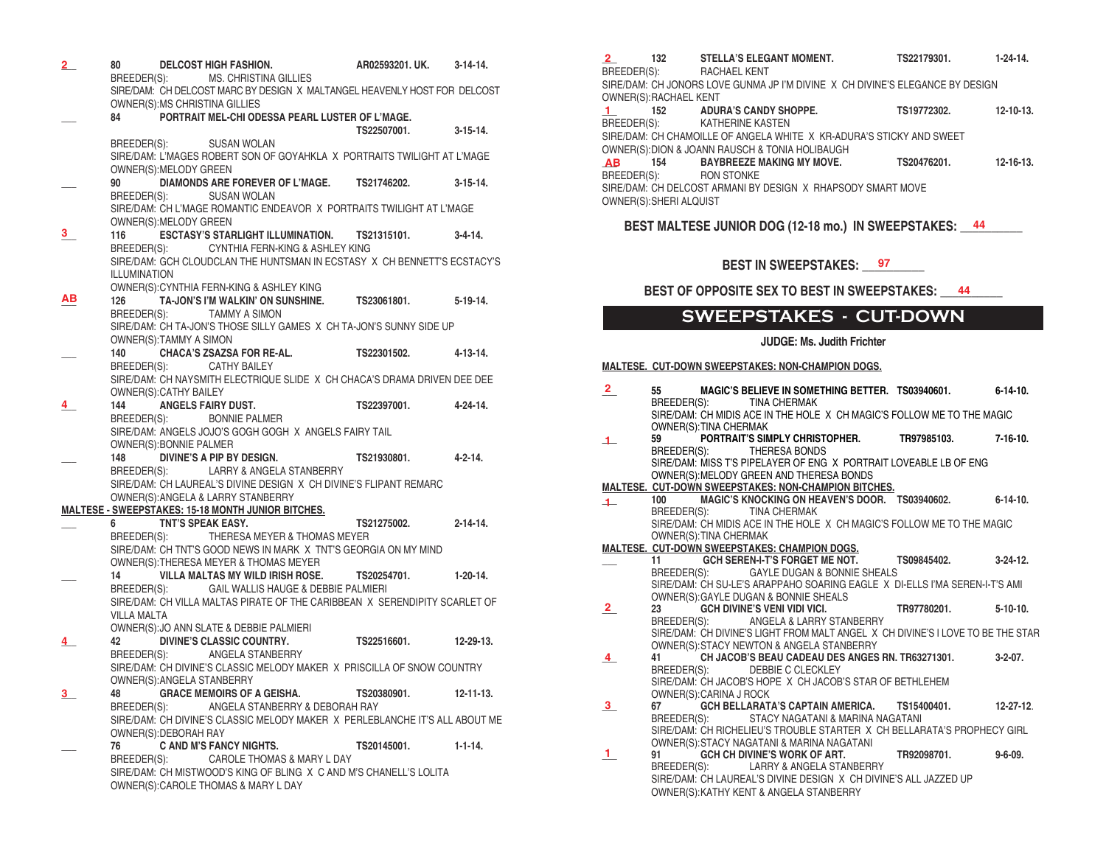| $\mathbf{2}_{-}$ | 80                 |                         | <b>DELCOST HIGH FASHION.</b>                                                | AR02593201. UK.       | $3-14-14$ .      |
|------------------|--------------------|-------------------------|-----------------------------------------------------------------------------|-----------------------|------------------|
|                  |                    |                         | BREEDER(S): MS. CHRISTINA GILLIES                                           |                       |                  |
|                  |                    |                         | SIRE/DAM: CH DELCOST MARC BY DESIGN X MALTANGEL HEAVENLY HOST FOR DELCOST   |                       |                  |
|                  |                    |                         | OWNER(S): MS CHRISTINA GILLIES                                              |                       |                  |
|                  |                    |                         | 84 PORTRAIT MEL-CHI ODESSA PEARL LUSTER OF L'MAGE.                          |                       |                  |
|                  |                    |                         |                                                                             | TS22507001.           | 3-15-14.         |
|                  |                    |                         | BREEDER(S): SUSAN WOLAN                                                     |                       |                  |
|                  |                    |                         | SIRE/DAM: L'MAGES ROBERT SON OF GOYAHKLA X PORTRAITS TWILIGHT AT L'MAGE     |                       |                  |
|                  |                    | OWNER(S): MELODY GREEN  |                                                                             |                       |                  |
|                  |                    |                         |                                                                             |                       |                  |
|                  |                    |                         | 90 DIAMONDS ARE FOREVER OF L'MAGE. TS21746202. 3-15-14.                     |                       |                  |
|                  |                    |                         | BREEDER(S): SUSAN WOLAN                                                     |                       |                  |
|                  |                    |                         | SIRE/DAM: CH L'MAGE ROMANTIC ENDEAVOR X PORTRAITS TWILIGHT AT L'MAGE        |                       |                  |
|                  |                    | OWNER(S): MELODY GREEN  |                                                                             |                       |                  |
| 3.               | 116 —              |                         | ESCTASY'S STARLIGHT ILLUMINATION. TS21315101.                               |                       | $3 - 4 - 14$ .   |
|                  |                    |                         | BREEDER(S): CYNTHIA FERN-KING & ASHLEY KING                                 |                       |                  |
|                  |                    |                         | SIRE/DAM: GCH CLOUDCLAN THE HUNTSMAN IN ECSTASY X CH BENNETT'S ECSTACY'S    |                       |                  |
|                  | ILLUMINATION       |                         |                                                                             |                       |                  |
|                  |                    |                         | OWNER(S): CYNTHIA FERN-KING & ASHLEY KING                                   |                       |                  |
| AВ               | 126                |                         | TA-JON'S I'M WALKIN' ON SUNSHINE. TS23061801. 5-19-14.                      |                       |                  |
|                  |                    |                         | BREEDER(S): TAMMY A SIMON                                                   |                       |                  |
|                  |                    |                         | SIRE/DAM: CH TA-JON'S THOSE SILLY GAMES X CH TA-JON'S SUNNY SIDE UP         |                       |                  |
|                  |                    | OWNER(S):TAMMY A SIMON  |                                                                             |                       |                  |
|                  |                    |                         | 140 CHACA'S ZSAZSA FOR RE-AL.                                               | TS22301502. 4-13-14.  |                  |
|                  |                    |                         | BREEDER(S): CATHY BAILEY                                                    |                       |                  |
|                  |                    |                         | SIRE/DAM: CH NAYSMITH ELECTRIQUE SLIDE X CH CHACA'S DRAMA DRIVEN DEE DEE    |                       |                  |
|                  |                    | OWNER(S): CATHY BAILEY  |                                                                             |                       |                  |
|                  |                    |                         | 144 ANGELS FAIRY DUST.                                                      | TS22397001.           | 4-24-14.         |
|                  |                    |                         | BREEDER(S): BONNIE PALMER                                                   |                       |                  |
|                  |                    |                         |                                                                             |                       |                  |
|                  |                    |                         | SIRE/DAM: ANGELS JOJO'S GOGH GOGH X ANGELS FAIRY TAIL                       |                       |                  |
|                  |                    | OWNER(S): BONNIE PALMER | 148 DIVINE'S A PIP BY DESIGN.                                               |                       |                  |
|                  |                    |                         |                                                                             | TS21930801.           | $4 - 2 - 14$ .   |
|                  |                    |                         | BREEDER(S): LARRY & ANGELA STANBERRY                                        |                       |                  |
|                  |                    |                         | SIRE/DAM: CH LAUREAL'S DIVINE DESIGN X CH DIVINE'S FLIPANT REMARC           |                       |                  |
|                  |                    |                         | OWNER(S): ANGELA & LARRY STANBERRY                                          |                       |                  |
|                  |                    |                         | MALTESE - SWEEPSTAKES: 15-18 MONTH JUNIOR BITCHES.                          |                       |                  |
|                  | $6 \qquad \qquad$  | TNT'S SPEAK EASY.       |                                                                             | TS21275002.           | $2 - 14 - 14$ .  |
|                  |                    |                         | BREEDER(S): THERESA MEYER & THOMAS MEYER                                    |                       |                  |
|                  |                    |                         | SIRE/DAM: CH TNT'S GOOD NEWS IN MARK X TNT'S GEORGIA ON MY MIND             |                       |                  |
|                  |                    |                         | OWNER(S): THERESA MEYER & THOMAS MEYER                                      |                       |                  |
|                  | 14 —               |                         | VILLA MALTAS MY WILD IRISH ROSE. TS20254701. 1-20-14.                       |                       |                  |
|                  |                    |                         | BREEDER(S): GAIL WALLIS HAUGE & DEBBIE PALMIERI                             |                       |                  |
|                  |                    |                         | SIRE/DAM: CH VILLA MALTAS PIRATE OF THE CARIBBEAN X SERENDIPITY SCARLET OF  |                       |                  |
|                  | <b>VILLA MALTA</b> |                         |                                                                             |                       |                  |
|                  |                    |                         | OWNER(S): JO ANN SLATE & DEBBIE PALMIERI                                    |                       |                  |
|                  | 42 —               |                         | <b>DIVINE'S CLASSIC COUNTRY.</b>                                            | TS22516601. 12-29-13. |                  |
|                  |                    |                         | BREEDER(S): ANGELA STANBERRY                                                |                       |                  |
|                  |                    |                         |                                                                             |                       |                  |
|                  |                    |                         | SIRE/DAM: CH DIVINE'S CLASSIC MELODY MAKER X PRISCILLA OF SNOW COUNTRY      |                       |                  |
|                  |                    |                         | OWNER(S): ANGELA STANBERRY                                                  |                       |                  |
| 3.               | 48                 |                         | <b>GRACE MEMOIRS OF A GEISHA.</b>                                           | TS20380901.           | $12 - 11 - 13$ . |
|                  |                    |                         | ANGELA STANBERRY & DEBORAH RAY                                              |                       |                  |
|                  | BREEDER(S):        |                         |                                                                             |                       |                  |
|                  |                    |                         | SIRE/DAM: CH DIVINE'S CLASSIC MELODY MAKER X PERLEBLANCHE IT'S ALL ABOUT ME |                       |                  |
|                  |                    | OWNER(S):DEBORAH RAY    |                                                                             |                       |                  |
|                  | 76                 |                         | C AND M'S FANCY NIGHTS.                                                     | TS20145001.           | $1 - 1 - 14.$    |
|                  | BREEDER(S):        |                         | CAROLE THOMAS & MARY L DAY                                                  |                       |                  |
|                  |                    |                         | SIRE/DAM: CH MISTWOOD'S KING OF BLING X C AND M'S CHANELL'S LOLITA          |                       |                  |
|                  |                    |                         | OWNER(S): CAROLE THOMAS & MARY L DAY                                        |                       |                  |

| 2              |                         | BREEDER(S): RACHAEL KENT | 132 STELLA'S ELEGANT MOMENT.                                                  | TS22179301.                                                                       | $1 - 24 - 14$ .  |
|----------------|-------------------------|--------------------------|-------------------------------------------------------------------------------|-----------------------------------------------------------------------------------|------------------|
|                |                         |                          |                                                                               | SIRE/DAM: CH JONORS LOVE GUNMA JP I'M DIVINE X CH DIVINE'S ELEGANCE BY DESIGN     |                  |
|                | OWNER(S): RACHAEL KENT  |                          |                                                                               |                                                                                   |                  |
|                |                         |                          |                                                                               | 1 152 ADURA'S CANDY SHOPPE. TS19772302. 12-10-13.<br>BREEDER(S): KATHERINE KASTEN |                  |
|                |                         |                          | SIRE/DAM: CH CHAMOILLE OF ANGELA WHITE X KR-ADURA'S STICKY AND SWEET          |                                                                                   |                  |
|                |                         |                          | OWNER(S): DION & JOANN RAUSCH & TONIA HOLIBAUGH                               |                                                                                   |                  |
| <b>AB</b>      |                         |                          |                                                                               | 154 BAYBREEZE MAKING MY MOVE. TS20476201. 12-16-13.                               |                  |
|                |                         | BREEDER(S): RON STONKE   | SIRE/DAM: CH DELCOST ARMANI BY DESIGN X RHAPSODY SMART MOVE                   |                                                                                   |                  |
|                | OWNER(S): SHERI ALQUIST |                          |                                                                               |                                                                                   |                  |
|                |                         |                          |                                                                               | BEST MALTESE JUNIOR DOG (12-18 mo.) IN SWEEPSTAKES: 44                            |                  |
|                |                         |                          |                                                                               |                                                                                   |                  |
|                |                         |                          | BEST IN SWEEPSTAKES: 97                                                       |                                                                                   |                  |
|                |                         |                          |                                                                               | BEST OF OPPOSITE SEX TO BEST IN SWEEPSTAKES: 44                                   |                  |
|                |                         |                          |                                                                               | <b>SWEEPSTAKES - CUT-DOWN</b>                                                     |                  |
|                |                         |                          | <b>JUDGE: Ms. Judith Frichter</b>                                             |                                                                                   |                  |
|                |                         |                          | MALTESE. CUT-DOWN SWEEPSTAKES: NON-CHAMPION DOGS.                             |                                                                                   |                  |
| 2              | 55                      |                          |                                                                               | MAGIC'S BELIEVE IN SOMETHING BETTER. TS03940601. 6-14-10.                         |                  |
|                |                         |                          | BREEDER(S): TINA CHERMAK                                                      |                                                                                   |                  |
|                |                         | OWNER(S):TINA CHERMAK    |                                                                               | SIRE/DAM: CH MIDIS ACE IN THE HOLE X CH MAGIC'S FOLLOW ME TO THE MAGIC            |                  |
| $\perp$        | 59                      |                          |                                                                               | PORTRAIT'S SIMPLY CHRISTOPHER. TR97985103. 7-16-10.                               |                  |
|                |                         |                          | BREEDER(S): THERESA BONDS                                                     | SIRE/DAM: MISS T'S PIPELAYER OF ENG X PORTRAIT LOVEABLE LB OF ENG                 |                  |
|                |                         |                          | OWNER(S): MELODY GREEN AND THERESA BONDS                                      |                                                                                   |                  |
|                |                         |                          | MALTESE. CUT-DOWN SWEEPSTAKES: NON-CHAMPION BITCHES.                          |                                                                                   |                  |
| $\perp$        | 100                     |                          | BREEDER(S): TINA CHERMAK                                                      | MAGIC'S KNOCKING ON HEAVEN'S DOOR. TS03940602.                                    | $6 - 14 - 10$ .  |
|                |                         |                          |                                                                               | SIRE/DAM: CH MIDIS ACE IN THE HOLE X CH MAGIC'S FOLLOW ME TO THE MAGIC            |                  |
|                |                         | OWNER(S): TINA CHERMAK   | MALTESE. CUT-DOWN SWEEPSTAKES: CHAMPION DOGS.                                 |                                                                                   |                  |
|                |                         |                          |                                                                               | 11 GCH SEREN-I-T'S FORGET ME NOT. TS09845402. 3-24-12.                            |                  |
|                |                         |                          | BREEDER(S): GAYLE DUGAN & BONNIE SHEALS                                       |                                                                                   |                  |
|                |                         |                          | OWNER(S): GAYLE DUGAN & BONNIE SHEALS                                         | SIRE/DAM: CH SU-LE'S ARAPPAHO SOARING EAGLE X DI-ELLS I'MA SEREN-I-T'S AMI        |                  |
| $\overline{2}$ |                         |                          | 23 GCH DIVINE'S VENI VIDI VICI.                                               | TR97780201. 5-10-10.                                                              |                  |
|                |                         | BREEDER(S):              | ANGELA & LARRY STANBERRY                                                      |                                                                                   |                  |
|                |                         |                          | OWNER(S): STACY NEWTON & ANGELA STANBERRY                                     | SIRE/DAM: CH DIVINE'S LIGHT FROM MALT ANGEL X CH DIVINE'S I LOVE TO BE THE STAR   |                  |
| 4              |                         |                          |                                                                               | 41 CH JACOB'S BEAU CADEAU DES ANGES RN. TR63271301.                               | $3-2-07$ .       |
|                | BREEDER(S):             |                          | DEBBIE C CLECKLEY<br>SIRE/DAM: CH JACOB'S HOPE X CH JACOB'S STAR OF BETHLEHEM |                                                                                   |                  |
|                |                         | OWNER(S): CARINA J ROCK  |                                                                               |                                                                                   |                  |
| 3              | 67                      |                          | GCH BELLARATA'S CAPTAIN AMERICA.                                              | TS15400401.                                                                       | $12 - 27 - 12$ . |
|                | BREEDER(S):             |                          | STACY NAGATANI & MARINA NAGATANI                                              | SIRE/DAM: CH RICHELIEU'S TROUBLE STARTER X CH BELLARATA'S PROPHECY GIRL           |                  |
|                |                         |                          | OWNER(S): STACY NAGATANI & MARINA NAGATANI                                    |                                                                                   |                  |
| $\mathbf{1}$   | 91                      |                          | GCH CH DIVINE'S WORK OF ART.                                                  | TR92098701.                                                                       | $9 - 6 - 09.$    |
|                | BREEDER(S):             |                          | LARRY & ANGELA STANBERRY                                                      | SIRE/DAM: CH LAUREAL'S DIVINE DESIGN X CH DIVINE'S ALL JAZZED UP                  |                  |

OWNER(S):KATHY KENT & ANGELA STANBERRY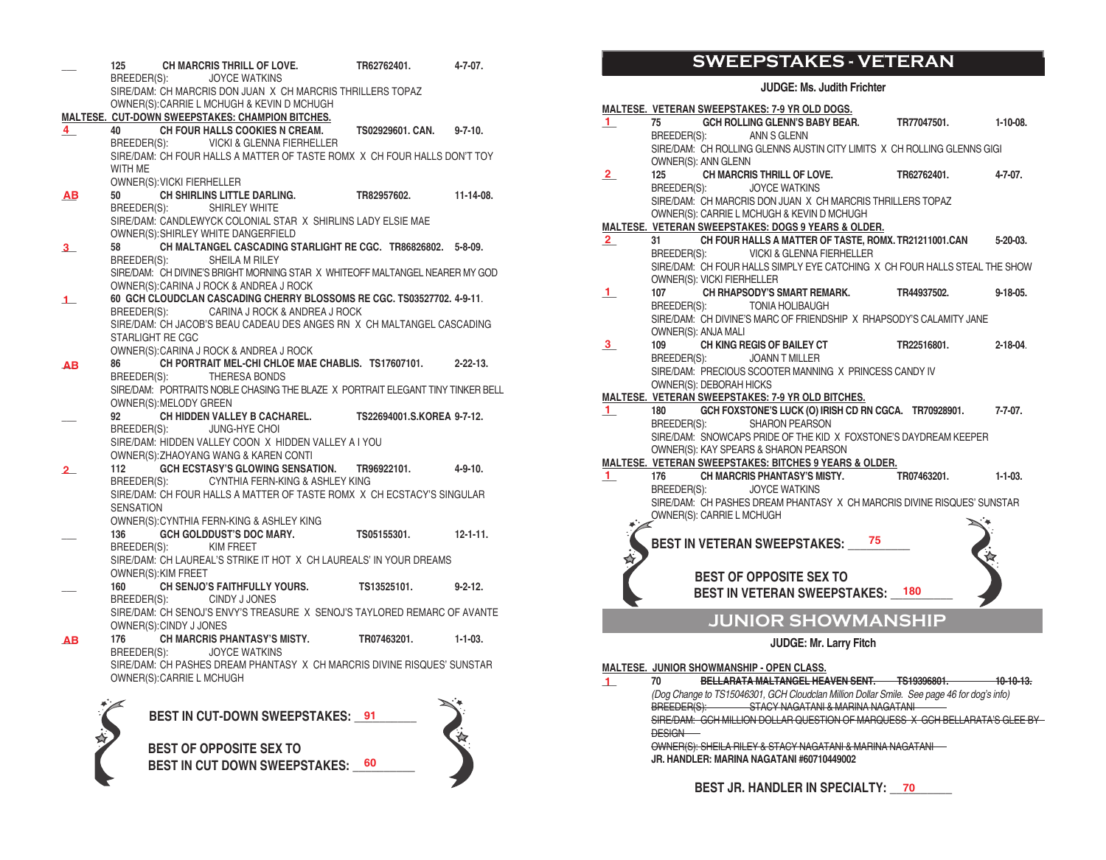| BREEDER(S): JOYCE WATKINS<br>SIRE/DAM: CH MARCRIS DON JUAN X CH MARCRIS THRILLERS TOPAZ<br>OWNER(S): CARRIE L MCHUGH & KEVIN D MCHUGH<br>MALTESE. CUT-DOWN SWEEPSTAKES: CHAMPION BITCHES.<br>CH FOUR HALLS COOKIES N CREAM.<br>4<br>40<br>TS02929601. CAN.<br>$9 - 7 - 10$ .<br>BREEDER(S): VICKI & GLENNA FIERHELLER<br>SIRE/DAM: CH FOUR HALLS A MATTER OF TASTE ROMX X CH FOUR HALLS DON'T TOY<br>WITH ME<br>OWNER(S): VICKI FIERHELLER<br>50<br>CH SHIRLINS LITTLE DARLING.<br>$11 - 14 - 08.$<br>TR82957602.<br><b>AB</b><br>BREEDER(S):<br>SHIRLEY WHITE<br>SIRE/DAM: CANDLEWYCK COLONIAL STAR X SHIRLINS LADY ELSIE MAE<br>OWNER(S): SHIRLEY WHITE DANGERFIELD<br>CH MALTANGEL CASCADING STARLIGHT RE CGC. TR86826802. 5-8-09.<br>58<br>$3_{-}$<br>SHEILA M RILEY<br>BREEDER(S):<br>SIRE/DAM: CH DIVINE'S BRIGHT MORNING STAR X WHITEOFF MALTANGEL NEARER MY GOD<br>OWNER(S): CARINA J ROCK & ANDREA J ROCK<br>60 GCH CLOUDCLAN CASCADING CHERRY BLOSSOMS RE CGC. TS03527702. 4-9-11.<br>$\perp$<br>BREEDER(S): CARINA J ROCK & ANDREA J ROCK<br>SIRE/DAM: CH JACOB'S BEAU CADEAU DES ANGES RN X CH MALTANGEL CASCADING<br>STARLIGHT RE CGC<br>OWNER(S): CARINA J ROCK & ANDREA J ROCK<br>CH PORTRAIT MEL-CHI CHLOE MAE CHABLIS. TS17607101.<br>86<br>$2 - 22 - 13$ .<br>AB |  |
|------------------------------------------------------------------------------------------------------------------------------------------------------------------------------------------------------------------------------------------------------------------------------------------------------------------------------------------------------------------------------------------------------------------------------------------------------------------------------------------------------------------------------------------------------------------------------------------------------------------------------------------------------------------------------------------------------------------------------------------------------------------------------------------------------------------------------------------------------------------------------------------------------------------------------------------------------------------------------------------------------------------------------------------------------------------------------------------------------------------------------------------------------------------------------------------------------------------------------------------------------------------------------------|--|
|                                                                                                                                                                                                                                                                                                                                                                                                                                                                                                                                                                                                                                                                                                                                                                                                                                                                                                                                                                                                                                                                                                                                                                                                                                                                                    |  |
|                                                                                                                                                                                                                                                                                                                                                                                                                                                                                                                                                                                                                                                                                                                                                                                                                                                                                                                                                                                                                                                                                                                                                                                                                                                                                    |  |
|                                                                                                                                                                                                                                                                                                                                                                                                                                                                                                                                                                                                                                                                                                                                                                                                                                                                                                                                                                                                                                                                                                                                                                                                                                                                                    |  |
|                                                                                                                                                                                                                                                                                                                                                                                                                                                                                                                                                                                                                                                                                                                                                                                                                                                                                                                                                                                                                                                                                                                                                                                                                                                                                    |  |
|                                                                                                                                                                                                                                                                                                                                                                                                                                                                                                                                                                                                                                                                                                                                                                                                                                                                                                                                                                                                                                                                                                                                                                                                                                                                                    |  |
|                                                                                                                                                                                                                                                                                                                                                                                                                                                                                                                                                                                                                                                                                                                                                                                                                                                                                                                                                                                                                                                                                                                                                                                                                                                                                    |  |
|                                                                                                                                                                                                                                                                                                                                                                                                                                                                                                                                                                                                                                                                                                                                                                                                                                                                                                                                                                                                                                                                                                                                                                                                                                                                                    |  |
|                                                                                                                                                                                                                                                                                                                                                                                                                                                                                                                                                                                                                                                                                                                                                                                                                                                                                                                                                                                                                                                                                                                                                                                                                                                                                    |  |
|                                                                                                                                                                                                                                                                                                                                                                                                                                                                                                                                                                                                                                                                                                                                                                                                                                                                                                                                                                                                                                                                                                                                                                                                                                                                                    |  |
|                                                                                                                                                                                                                                                                                                                                                                                                                                                                                                                                                                                                                                                                                                                                                                                                                                                                                                                                                                                                                                                                                                                                                                                                                                                                                    |  |
|                                                                                                                                                                                                                                                                                                                                                                                                                                                                                                                                                                                                                                                                                                                                                                                                                                                                                                                                                                                                                                                                                                                                                                                                                                                                                    |  |
|                                                                                                                                                                                                                                                                                                                                                                                                                                                                                                                                                                                                                                                                                                                                                                                                                                                                                                                                                                                                                                                                                                                                                                                                                                                                                    |  |
|                                                                                                                                                                                                                                                                                                                                                                                                                                                                                                                                                                                                                                                                                                                                                                                                                                                                                                                                                                                                                                                                                                                                                                                                                                                                                    |  |
|                                                                                                                                                                                                                                                                                                                                                                                                                                                                                                                                                                                                                                                                                                                                                                                                                                                                                                                                                                                                                                                                                                                                                                                                                                                                                    |  |
|                                                                                                                                                                                                                                                                                                                                                                                                                                                                                                                                                                                                                                                                                                                                                                                                                                                                                                                                                                                                                                                                                                                                                                                                                                                                                    |  |
|                                                                                                                                                                                                                                                                                                                                                                                                                                                                                                                                                                                                                                                                                                                                                                                                                                                                                                                                                                                                                                                                                                                                                                                                                                                                                    |  |
|                                                                                                                                                                                                                                                                                                                                                                                                                                                                                                                                                                                                                                                                                                                                                                                                                                                                                                                                                                                                                                                                                                                                                                                                                                                                                    |  |
|                                                                                                                                                                                                                                                                                                                                                                                                                                                                                                                                                                                                                                                                                                                                                                                                                                                                                                                                                                                                                                                                                                                                                                                                                                                                                    |  |
|                                                                                                                                                                                                                                                                                                                                                                                                                                                                                                                                                                                                                                                                                                                                                                                                                                                                                                                                                                                                                                                                                                                                                                                                                                                                                    |  |
|                                                                                                                                                                                                                                                                                                                                                                                                                                                                                                                                                                                                                                                                                                                                                                                                                                                                                                                                                                                                                                                                                                                                                                                                                                                                                    |  |
|                                                                                                                                                                                                                                                                                                                                                                                                                                                                                                                                                                                                                                                                                                                                                                                                                                                                                                                                                                                                                                                                                                                                                                                                                                                                                    |  |
| BREEDER(S):<br><b>THERESA BONDS</b>                                                                                                                                                                                                                                                                                                                                                                                                                                                                                                                                                                                                                                                                                                                                                                                                                                                                                                                                                                                                                                                                                                                                                                                                                                                |  |
| SIRE/DAM: PORTRAITS NOBLE CHASING THE BLAZE X PORTRAIT ELEGANT TINY TINKER BELL                                                                                                                                                                                                                                                                                                                                                                                                                                                                                                                                                                                                                                                                                                                                                                                                                                                                                                                                                                                                                                                                                                                                                                                                    |  |
| OWNER(S): MELODY GREEN                                                                                                                                                                                                                                                                                                                                                                                                                                                                                                                                                                                                                                                                                                                                                                                                                                                                                                                                                                                                                                                                                                                                                                                                                                                             |  |
| CH HIDDEN VALLEY B CACHAREL. TS22694001.S.KOREA 9-7-12.<br>92                                                                                                                                                                                                                                                                                                                                                                                                                                                                                                                                                                                                                                                                                                                                                                                                                                                                                                                                                                                                                                                                                                                                                                                                                      |  |
| BREEDER(S):<br>JUNG-HYE CHOI                                                                                                                                                                                                                                                                                                                                                                                                                                                                                                                                                                                                                                                                                                                                                                                                                                                                                                                                                                                                                                                                                                                                                                                                                                                       |  |
| SIRE/DAM: HIDDEN VALLEY COON X HIDDEN VALLEY A I YOU<br>OWNER(S): ZHAOYANG WANG & KAREN CONTI                                                                                                                                                                                                                                                                                                                                                                                                                                                                                                                                                                                                                                                                                                                                                                                                                                                                                                                                                                                                                                                                                                                                                                                      |  |
| GCH ECSTASY'S GLOWING SENSATION. TR96922101.<br>112<br>4-9-10.                                                                                                                                                                                                                                                                                                                                                                                                                                                                                                                                                                                                                                                                                                                                                                                                                                                                                                                                                                                                                                                                                                                                                                                                                     |  |
| 2<br>BREEDER(S):<br>CYNTHIA FERN-KING & ASHLEY KING                                                                                                                                                                                                                                                                                                                                                                                                                                                                                                                                                                                                                                                                                                                                                                                                                                                                                                                                                                                                                                                                                                                                                                                                                                |  |
| SIRE/DAM: CH FOUR HALLS A MATTER OF TASTE ROMX X CH ECSTACY'S SINGULAR                                                                                                                                                                                                                                                                                                                                                                                                                                                                                                                                                                                                                                                                                                                                                                                                                                                                                                                                                                                                                                                                                                                                                                                                             |  |
| <b>SENSATION</b>                                                                                                                                                                                                                                                                                                                                                                                                                                                                                                                                                                                                                                                                                                                                                                                                                                                                                                                                                                                                                                                                                                                                                                                                                                                                   |  |
| OWNER(S): CYNTHIA FERN-KING & ASHLEY KING                                                                                                                                                                                                                                                                                                                                                                                                                                                                                                                                                                                                                                                                                                                                                                                                                                                                                                                                                                                                                                                                                                                                                                                                                                          |  |
| GCH GOLDDUST'S DOC MARY. TS05155301.<br>136<br>$12 - 1 - 11$ .                                                                                                                                                                                                                                                                                                                                                                                                                                                                                                                                                                                                                                                                                                                                                                                                                                                                                                                                                                                                                                                                                                                                                                                                                     |  |
| KIM FREET<br>BREEDER(S):                                                                                                                                                                                                                                                                                                                                                                                                                                                                                                                                                                                                                                                                                                                                                                                                                                                                                                                                                                                                                                                                                                                                                                                                                                                           |  |
| SIRE/DAM: CH LAUREAL'S STRIKE IT HOT X CH LAUREALS' IN YOUR DREAMS                                                                                                                                                                                                                                                                                                                                                                                                                                                                                                                                                                                                                                                                                                                                                                                                                                                                                                                                                                                                                                                                                                                                                                                                                 |  |
| OWNER(S): KIM FREET                                                                                                                                                                                                                                                                                                                                                                                                                                                                                                                                                                                                                                                                                                                                                                                                                                                                                                                                                                                                                                                                                                                                                                                                                                                                |  |
| CH SENJO'S FAITHFULLY YOURS. TS13525101.<br>160<br>$9 - 2 - 12$ .                                                                                                                                                                                                                                                                                                                                                                                                                                                                                                                                                                                                                                                                                                                                                                                                                                                                                                                                                                                                                                                                                                                                                                                                                  |  |
| <b>CINDY J JONES</b><br>BREEDER(S):<br>SIRE/DAM: CH SENOJ'S ENVY'S TREASURE X SENOJ'S TAYLORED REMARC OF AVANTE                                                                                                                                                                                                                                                                                                                                                                                                                                                                                                                                                                                                                                                                                                                                                                                                                                                                                                                                                                                                                                                                                                                                                                    |  |
| OWNER(S):CINDY J JONES                                                                                                                                                                                                                                                                                                                                                                                                                                                                                                                                                                                                                                                                                                                                                                                                                                                                                                                                                                                                                                                                                                                                                                                                                                                             |  |
| CH MARCRIS PHANTASY'S MISTY. TR07463201.<br>176<br>$1 - 1 - 03$ .<br>AB                                                                                                                                                                                                                                                                                                                                                                                                                                                                                                                                                                                                                                                                                                                                                                                                                                                                                                                                                                                                                                                                                                                                                                                                            |  |
| <b>JOYCE WATKINS</b><br>BREEDER(S):                                                                                                                                                                                                                                                                                                                                                                                                                                                                                                                                                                                                                                                                                                                                                                                                                                                                                                                                                                                                                                                                                                                                                                                                                                                |  |
| SIRE/DAM: CH PASHES DREAM PHANTASY X CH MARCRIS DIVINE RISQUES' SUNSTAR                                                                                                                                                                                                                                                                                                                                                                                                                                                                                                                                                                                                                                                                                                                                                                                                                                                                                                                                                                                                                                                                                                                                                                                                            |  |
| OWNER(S): CARRIE L MCHUGH                                                                                                                                                                                                                                                                                                                                                                                                                                                                                                                                                                                                                                                                                                                                                                                                                                                                                                                                                                                                                                                                                                                                                                                                                                                          |  |
| Service State<br>$\sim$                                                                                                                                                                                                                                                                                                                                                                                                                                                                                                                                                                                                                                                                                                                                                                                                                                                                                                                                                                                                                                                                                                                                                                                                                                                            |  |



BEST IN CUT-DOWN SWEEPSTAKES: \_\_91\_\_\_\_\_\_\_

论

**BEST OF OPPOSITE SEX TO** BEST IN CUT DOWN SWEEPSTAKES: \_\_<sup>60</sup>\_\_\_\_\_\_

# **SWEEPSTAKES - VETERAN**

**JUDGE: Ms. Judith Frichter**

|                |             |                            | MALTESE. VETERAN SWEEPSTAKES: 7-9 YR OLD DOGS.                             |    |             |                |
|----------------|-------------|----------------------------|----------------------------------------------------------------------------|----|-------------|----------------|
| 1.             | 75          |                            | GCH ROLLING GLENN'S BABY BEAR. TR77047501.                                 |    |             | $1-10-08.$     |
|                |             |                            | BREEDER(S): ANN S GLENN                                                    |    |             |                |
|                |             |                            | SIRE/DAM: CH ROLLING GLENNS AUSTIN CITY LIMITS X CH ROLLING GLENNS GIGI    |    |             |                |
|                |             | OWNER(S): ANN GLENN        |                                                                            |    |             |                |
| $\mathbf{2}$   | 125         |                            | CH MARCRIS THRILL OF LOVE.                                                 |    | TR62762401. | $4 - 7 - 07$ . |
|                |             | BREEDER(S):                | JOYCE WATKINS                                                              |    |             |                |
|                |             |                            | SIRE/DAM: CH MARCRIS DON JUAN X CH MARCRIS THRILLERS TOPAZ                 |    |             |                |
|                |             |                            | OWNER(S): CARRIE L MCHUGH & KEVIN D MCHUGH                                 |    |             |                |
|                |             |                            | <b>MALTESE. VETERAN SWEEPSTAKES: DOGS 9 YEARS &amp; OLDER.</b>             |    |             |                |
| $\overline{2}$ | 31          |                            | CH FOUR HALLS A MATTER OF TASTE, ROMX. TR21211001.CAN 5-20-03.             |    |             |                |
|                |             |                            | BREEDER(S): VICKI & GLENNA FIERHELLER                                      |    |             |                |
|                |             |                            | SIRE/DAM: CH FOUR HALLS SIMPLY EYE CATCHING X CH FOUR HALLS STEAL THE SHOW |    |             |                |
|                |             | OWNER(S): VICKI FIERHELLER |                                                                            |    |             |                |
| п.             | 107         | BREEDER(S):                | CH RHAPSODY'S SMART REMARK. TR44937502. 9-18-05.<br><b>TONIA HOLIBAUGH</b> |    |             |                |
|                |             |                            | SIRE/DAM: CH DIVINE'S MARC OF FRIENDSHIP X RHAPSODY'S CALAMITY JANE        |    |             |                |
|                |             | OWNER(S): ANJA MALI        |                                                                            |    |             |                |
| 3              | 109         |                            | CH KING REGIS OF BAILEY CT                                                 |    | TR22516801. | $2 - 18 - 04$  |
|                |             | BREEDER(S):                | JOANN T MILLER                                                             |    |             |                |
|                |             |                            | SIRE/DAM: PRECIOUS SCOOTER MANNING X PRINCESS CANDY IV                     |    |             |                |
|                |             | OWNER(S): DEBORAH HICKS    |                                                                            |    |             |                |
|                |             |                            | MALTESE. VETERAN SWEEPSTAKES: 7-9 YR OLD BITCHES.                          |    |             |                |
| $\mathbf{1}$   | 180         |                            | GCH FOXSTONE'S LUCK (O) IRISH CD RN CGCA. TR70928901. 7-7-07.              |    |             |                |
|                | BREEDER(S): |                            | <b>SHARON PEARSON</b>                                                      |    |             |                |
|                |             |                            | SIRE/DAM: SNOWCAPS PRIDE OF THE KID X FOXSTONE'S DAYDREAM KEEPER           |    |             |                |
|                |             |                            | OWNER(S): KAY SPEARS & SHARON PEARSON                                      |    |             |                |
|                |             |                            | MALTESE. VETERAN SWEEPSTAKES: BITCHES 9 YEARS & OLDER.                     |    |             |                |
| $\mathbf{1}$   | 176 — 17    |                            | CH MARCRIS PHANTASY'S MISTY. TR07463201.                                   |    |             | $1-1-03$       |
|                |             | BREEDER(S):                | <b>JOYCE WATKINS</b>                                                       |    |             |                |
|                |             |                            | SIRE/DAM: CH PASHES DREAM PHANTASY X CH MARCRIS DIVINE RISQUES' SUNSTAR    |    |             |                |
|                |             | OWNER(S): CARRIE L MCHUGH  |                                                                            |    |             |                |
|                |             |                            |                                                                            |    |             |                |
|                |             |                            | <b>BEST IN VETERAN SWEEPSTAKES:</b>                                        | 75 |             |                |
|                |             |                            |                                                                            |    |             |                |
|                |             |                            | <b>BEST OF OPPOSITE SEX TO</b>                                             |    |             |                |
|                |             |                            | <b>BEST IN VETERAN SWEEPSTAKES: 180</b>                                    |    |             |                |
|                |             |                            |                                                                            |    |             |                |
|                |             |                            | <b>JUNIOR SHOWMANSHIP</b>                                                  |    |             |                |
|                |             |                            |                                                                            |    |             |                |

**JUDGE: Mr. Larry Fitch**

#### **MALTESE. JUNIOR SHOWMANSHIP - OPEN CLASS.**

**\_\_\_ 70 BELLARATA MALTANGEL HEAVEN SENT. TS19396801. 10-10-13. 1**

*(Dog Change to TS15046301, GCH Cloudclan Million Dollar Smile. See page 46 for dog's info)* STACY NAGATANI & MARINA NAGATANI **STACY NAGATANI** 

SIRE/DAM: GCH MILLION DOLLAR QUESTION OF MARQUESS X GCH BELLARATA'S GLEE BY **DESIGN** 

OWNER(S): SHEILA RILEY & STACY NAGATANI & MARINA NAGATANI

**JR. HANDLER: MARINA NAGATANI #60710449002**

**BEST JR. HANDLER IN SPECIALTY: \_\_\_\_\_\_\_\_\_\_ 70**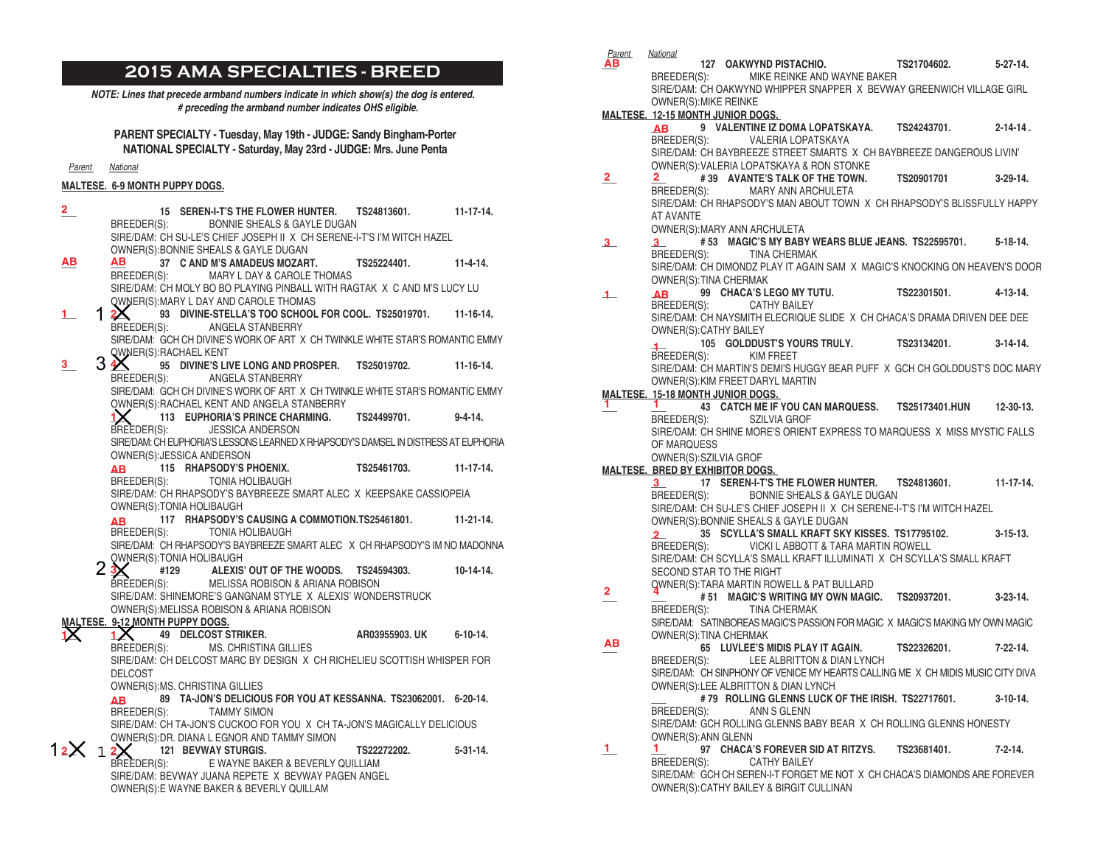# **2015 AMA SPECIALTIES - BREED**

*NOTE: Lines that precede armband numbers indicate in which show(s) the dog is entered. # preceding the armband number indicates OHS eligible.*

**PARENT SPECIALTY - Tuesday, May 19th - JUDGE: Sandy Bingham-Porter NATIONAL SPECIALTY - Saturday, May 23rd - JUDGE: Mrs. June Penta**

*Parent National*

#### **MALTESE. 6-9 MONTH PUPPY DOGS.**

| $\overline{2}$ |                                 | 15 SEREN-I-T'S THE FLOWER HUNTER.                                                     | TS24813601.          | $11 - 17 - 14.$  |
|----------------|---------------------------------|---------------------------------------------------------------------------------------|----------------------|------------------|
|                |                                 | BREEDER(S): BONNIE SHEALS & GAYLE DUGAN                                               |                      |                  |
|                |                                 | SIRE/DAM: CH SU-LE'S CHIEF JOSEPH II X CH SERENE-I-T'S I'M WITCH HAZEL                |                      |                  |
|                |                                 | OWNER(S): BONNIE SHEALS & GAYLE DUGAN                                                 |                      |                  |
| ΑВ             | AВ                              | 37 C AND M'S AMADEUS MOZART.                                                          | TS25224401. 11-4-14. |                  |
|                |                                 | BREEDER(S): MARY L DAY & CAROLE THOMAS                                                |                      |                  |
|                |                                 | SIRE/DAM: CH MOLY BO BO PLAYING PINBALL WITH RAGTAK X C AND M'S LUCY LU               |                      |                  |
|                |                                 | OWNER(S): MARY L DAY AND CAROLE THOMAS                                                |                      |                  |
| 1.             | 12                              | 93 DIVINE-STELLA'S TOO SCHOOL FOR COOL, TS25019701. 11-16-14.                         |                      |                  |
|                | BREEDER(S):                     | ANGELA STANBERRY                                                                      |                      |                  |
|                |                                 | SIRE/DAM: GCH CH DIVINE'S WORK OF ART X CH TWINKLE WHITE STAR'S ROMANTIC EMMY         |                      |                  |
|                |                                 | <b>QWNER(S): RACHAEL KENT</b>                                                         |                      |                  |
| 3.             |                                 | $3\,\mathbf{\mathbb{X}}$ $^{\circ}$ 95 Divine's live long and prosper. TS25019702.    |                      | $11 - 16 - 14$ . |
|                |                                 | BREEDER(S): ANGELA STANBERRY                                                          |                      |                  |
|                |                                 | SIRE/DAM: GCH CH DIVINE'S WORK OF ART X CH TWINKLE WHITE STAR'S ROMANTIC EMMY         |                      |                  |
|                |                                 | OWNER(S): RACHAEL KENT AND ANGELA STANBERRY                                           |                      |                  |
|                |                                 | 113 EUPHORIA'S PRINCE CHARMING. TS24499701.                                           |                      | $9 - 4 - 14$ .   |
|                | BREEDER(S):                     | <b>JESSICA ANDERSON</b>                                                               |                      |                  |
|                |                                 | SIRE/DAM: CH EUPHORIA'S LESSONS LEARNED X RHAPSODY'S DAMSEL IN DISTRESS AT EUPHORIA   |                      |                  |
|                |                                 | OWNER(S): JESSICA ANDERSON                                                            |                      |                  |
|                | AB.                             | $115$ RHAPSODY'S PHOENIX. TS25461703. 11-17-14.                                       |                      |                  |
|                |                                 | BREEDER(S): TONIA HOLIBAUGH                                                           |                      |                  |
|                |                                 | SIRE/DAM: CH RHAPSODY'S BAYBREEZE SMART ALEC X KEEPSAKE CASSIOPEIA                    |                      |                  |
|                |                                 | OWNER(S): TONIA HOLIBAUGH<br>117 RHAPSODY'S CAUSING A COMMOTION.TS25461801. 11-21-14. |                      |                  |
|                | <b>AB</b>                       | BREEDER(S): TONIA HOLIBAUGH                                                           |                      |                  |
|                |                                 | SIRE/DAM: CH RHAPSODY'S BAYBREEZE SMART ALEC X CH RHAPSODY'S IM NO MADONNA            |                      |                  |
|                |                                 | OWNER(S): TONIA HOLIBAUGH                                                             |                      |                  |
|                | 2 <sup>3</sup>                  | #129 ALEXIS' OUT OF THE WOODS. TS24594303. 10-14-14.                                  |                      |                  |
|                |                                 | BREEDER(S): MELISSA ROBISON & ARIANA ROBISON                                          |                      |                  |
|                |                                 | SIRE/DAM: SHINEMORE'S GANGNAM STYLE X ALEXIS' WONDERSTRUCK                            |                      |                  |
|                |                                 | OWNER(S): MELISSA ROBISON & ARIANA ROBISON                                            |                      |                  |
|                | MALTESE. 9-12 MONTH PUPPY DOGS. |                                                                                       |                      |                  |
|                |                                 | 1X 49 DELCOST STRIKER.                                                                | AR03955903. UK       | $6 - 10 - 14$ .  |
|                |                                 | BREEDER(S): MS. CHRISTINA GILLIES                                                     |                      |                  |
|                |                                 | SIRE/DAM: CH DELCOST MARC BY DESIGN X CH RICHELIEU SCOTTISH WHISPER FOR               |                      |                  |
|                | <b>DELCOST</b>                  |                                                                                       |                      |                  |
|                |                                 | OWNER(S): MS. CHRISTINA GILLIES                                                       |                      |                  |
|                | <b>AB</b>                       | 89 TA-JON'S DELICIOUS FOR YOU AT KESSANNA, TS23062001, 6-20-14,                       |                      |                  |
|                |                                 | BREEDER(S): TAMMY SIMON                                                               |                      |                  |
|                |                                 | SIRE/DAM: CH TA-JON'S CUCKOO FOR YOU X CH TA-JON'S MAGICALLY DELICIOUS                |                      |                  |
|                |                                 | OWNER(S): DR. DIANA L EGNOR AND TAMMY SIMON                                           |                      |                  |
| 12X            | 12X                             | <b>121 BEVWAY STURGIS.</b>                                                            | TS22272202.          | $5 - 31 - 14$ .  |
|                | BREEDER(S):                     | E WAYNE BAKER & BEVERLY QUILLIAM                                                      |                      |                  |
|                |                                 | SIRE/DAM: BEVWAY JUANA REPETE X BEVWAY PAGEN ANGEL                                    |                      |                  |
|                |                                 | OWNER(S): E WAYNE BAKER & BEVERLY QUILLAM                                             |                      |                  |

| Parent                   | National                                 |                                                                                 |             |                 |
|--------------------------|------------------------------------------|---------------------------------------------------------------------------------|-------------|-----------------|
| ΑВ                       |                                          | 127 OAKWYND PISTACHIO. TS21704602.                                              |             | $5 - 27 - 14$ . |
|                          | BREEDER(S):                              | MIKE REINKE AND WAYNE BAKER                                                     |             |                 |
|                          |                                          | SIRE/DAM: CH OAKWYND WHIPPER SNAPPER X BEVWAY GREENWICH VILLAGE GIRL            |             |                 |
|                          | <b>OWNER(S): MIKE REINKE</b>             |                                                                                 |             |                 |
|                          | <b>MALTESE. 12-15 MONTH JUNIOR DOGS.</b> |                                                                                 |             |                 |
|                          | <b>AB</b>                                | 9 VALENTINE IZ DOMA LOPATSKAYA. TS24243701.                                     |             | $2 - 14 - 14$ . |
|                          | BREEDER(S):                              | VALERIA LOPATSKAYA                                                              |             |                 |
|                          |                                          | SIRE/DAM: CH BAYBREEZE STREET SMARTS X CH BAYBREEZE DANGEROUS LIVIN'            |             |                 |
|                          |                                          |                                                                                 |             |                 |
|                          |                                          | OWNER(S): VALERIA LOPATSKAYA & RON STONKE                                       |             |                 |
| $2_{-}$                  | 2.                                       | #39 AVANTE'S TALK OF THE TOWN. TS20901701                                       |             | $3-29-14$ .     |
|                          | BREEDER(S):                              | <b>MARY ANN ARCHULETA</b>                                                       |             |                 |
|                          |                                          | SIRE/DAM: CH RHAPSODY'S MAN ABOUT TOWN X CH RHAPSODY'S BLISSFULLY HAPPY         |             |                 |
|                          | AT AVANTE                                |                                                                                 |             |                 |
|                          |                                          | OWNER(S): MARY ANN ARCHULETA                                                    |             |                 |
| $3_{-}$                  | $3_{-}$                                  | #53 MAGIC'S MY BABY WEARS BLUE JEANS. TS22595701. 5-18-14.                      |             |                 |
|                          | BREEDER(S):                              | <b>TINA CHERMAK</b>                                                             |             |                 |
|                          |                                          | SIRE/DAM: CH DIMONDZ PLAY IT AGAIN SAM X MAGIC'S KNOCKING ON HEAVEN'S DOOR      |             |                 |
|                          | OWNER(S): TINA CHERMAK                   |                                                                                 |             |                 |
| $\overline{\phantom{a}}$ | <b>AB</b>                                | 99 CHACA'S LEGO MY TUTU.                                                        | TS22301501. | 4-13-14.        |
|                          | BREEDER(S):                              | <b>CATHY BAILEY</b>                                                             |             |                 |
|                          |                                          | SIRE/DAM: CH NAYSMITH ELECRIQUE SLIDE X CH CHACA'S DRAMA DRIVEN DEE DEE         |             |                 |
|                          | OWNER(S): CATHY BAILEY                   |                                                                                 |             |                 |
|                          |                                          | 105 GOLDDUST'S YOURS TRULY. TS23134201.                                         |             | $3-14-14$ .     |
|                          | $\ddot{ }$<br>BREEDER(S):                | KIM FREET                                                                       |             |                 |
|                          |                                          | SIRE/DAM: CH MARTIN'S DEMI'S HUGGY BEAR PUFF X GCH CH GOLDDUST'S DOC MARY       |             |                 |
|                          |                                          |                                                                                 |             |                 |
|                          |                                          | OWNER(S): KIM FREET DARYL MARTIN                                                |             |                 |
|                          | <b>MALTESE. 15-18 MONTH JUNIOR DOGS.</b> |                                                                                 |             |                 |
| 1.                       |                                          | 1 43 CATCH ME IF YOU CAN MARQUESS. TS25173401.HUN 12-30-13.                     |             |                 |
|                          | BREEDER(S):                              | <b>SZILVIA GROF</b>                                                             |             |                 |
|                          |                                          | SIRE/DAM: CH SHINE MORE'S ORIENT EXPRESS TO MARQUESS X MISS MYSTIC FALLS        |             |                 |
|                          | OF MARQUESS                              |                                                                                 |             |                 |
|                          | OWNER(S):SZILVIA GROF                    |                                                                                 |             |                 |
|                          | <b>MALTESE. BRED BY EXHIBITOR DOGS.</b>  |                                                                                 |             |                 |
|                          | 3 <sub>1</sub>                           | 17 SEREN-I-T'S THE FLOWER HUNTER. TS24813601. 11-17-14.                         |             |                 |
|                          | BREEDER(S):                              | BONNIE SHEALS & GAYLE DUGAN                                                     |             |                 |
|                          |                                          | SIRE/DAM: CH SU-LE'S CHIEF JOSEPH II X CH SERENE-I-T'S I'M WITCH HAZEL          |             |                 |
|                          |                                          | OWNER(S): BONNIE SHEALS & GAYLE DUGAN                                           |             |                 |
|                          | 2                                        | 35 SCYLLA'S SMALL KRAFT SKY KISSES. TS17795102.                                 |             | $3 - 15 - 13.$  |
|                          | BREEDER(S):                              | VICKI L ABBOTT & TARA MARTIN ROWELL                                             |             |                 |
|                          |                                          | SIRE/DAM: CH SCYLLA'S SMALL KRAFT ILLUMINATI X CH SCYLLA'S SMALL KRAFT          |             |                 |
|                          |                                          | SECOND STAR TO THE RIGHT                                                        |             |                 |
|                          |                                          | QWNER(S):TARA MARTIN ROWELL & PAT BULLARD                                       |             |                 |
| 2.                       |                                          | # 51 MAGIC'S WRITING MY OWN MAGIC. TS20937201.                                  |             | $3 - 23 - 14$ . |
|                          | BREEDER(S):                              | <b>TINA CHERMAK</b>                                                             |             |                 |
|                          |                                          | SIRE/DAM: SATINBOREAS MAGIC'S PASSION FOR MAGIC X MAGIC'S MAKING MY OWN MAGIC   |             |                 |
|                          | OWNER(S): TINA CHERMAK                   |                                                                                 |             |                 |
| ΑВ                       |                                          | 65 LUVLEE'S MIDIS PLAY IT AGAIN.                                                | TS22326201. | $7 - 22 - 14$ . |
|                          |                                          | BREEDER(S): LEE ALBRITTON & DIAN LYNCH                                          |             |                 |
|                          |                                          | SIRE/DAM: CH SINPHONY OF VENICE MY HEARTS CALLING ME X CH MIDIS MUSIC CITY DIVA |             |                 |
|                          |                                          | OWNER(S): LEE ALBRITTON & DIAN LYNCH                                            |             |                 |
|                          |                                          | #79 ROLLING GLENNS LUCK OF THE IRISH. TS22717601.                               |             | $3-10-14$ .     |
|                          |                                          |                                                                                 |             |                 |
|                          | BREEDER(S):                              | ANN S GLENN                                                                     |             |                 |
|                          |                                          | SIRE/DAM: GCH ROLLING GLENNS BABY BEAR X CH ROLLING GLENNS HONESTY              |             |                 |
|                          | OWNER(S): ANN GLENN                      |                                                                                 |             |                 |
| $\perp$                  | $1 \sim 1$                               | 97 CHACA'S FOREVER SID AT RITZYS.                                               | TS23681401. | $7 - 2 - 14.$   |
|                          |                                          | BREEDER(S): CATHY BAILEY                                                        |             |                 |

SIRE/DAM: GCH CH SEREN-I-T FORGET ME NOT X CH CHACA'S DIAMONDS ARE FOREVER

OWNER(S):CATHY BAILEY & BIRGIT CULLINAN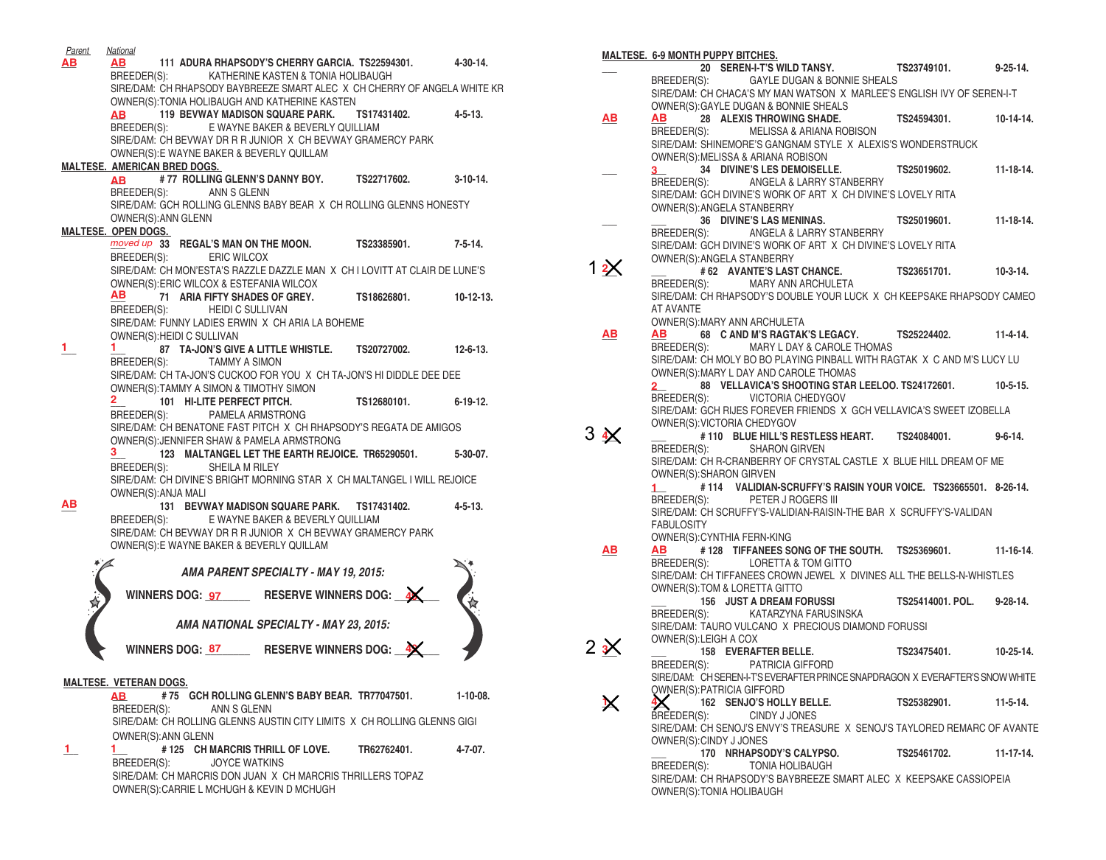| <b>Parent</b> | <b>National</b>                                                                                             |                      |                 |
|---------------|-------------------------------------------------------------------------------------------------------------|----------------------|-----------------|
| ΑВ            | AB 111 ADURA RHAPSODY'S CHERRY GARCIA. TS22594301. 4-30-14.                                                 |                      |                 |
|               | KATHERINE KASTEN & TONIA HOLIBAUGH<br>BREEDER(S):                                                           |                      |                 |
|               | SIRE/DAM: CH RHAPSODY BAYBREEZE SMART ALEC X CH CHERRY OF ANGELA WHITE KR                                   |                      |                 |
|               | OWNER(S): TONIA HOLIBAUGH AND KATHERINE KASTEN                                                              |                      |                 |
|               | 119 BEVWAY MADISON SQUARE PARK. TS17431402.<br><b>AB</b>                                                    |                      | 4-5-13.         |
|               | BREEDER(S): E WAYNE BAKER & BEVERLY QUILLIAM<br>SIRE/DAM: CH BEVWAY DR R R JUNIOR X CH BEVWAY GRAMERCY PARK |                      |                 |
|               | OWNER(S): E WAYNE BAKER & BEVERLY QUILLAM                                                                   |                      |                 |
|               | <b>MALTESE. AMERICAN BRED DOGS.</b>                                                                         |                      |                 |
|               | AB #77 ROLLING GLENN'S DANNY BOY. TS22717602.                                                               |                      | $3-10-14.$      |
|               | BREEDER(S):<br>ANN S GLENN                                                                                  |                      |                 |
|               | SIRE/DAM: GCH ROLLING GLENNS BABY BEAR X CH ROLLING GLENNS HONESTY                                          |                      |                 |
|               | OWNER(S): ANN GLENN                                                                                         |                      |                 |
|               | <b>MALTESE. OPEN DOGS.</b>                                                                                  |                      |                 |
|               | moved up 33 REGAL'S MAN ON THE MOON. TS23385901.                                                            |                      | 7-5-14.         |
|               | BREEDER(S): ERIC WILCOX                                                                                     |                      |                 |
|               | SIRE/DAM: CH MON'ESTA'S RAZZLE DAZZLE MAN X CH I LOVITT AT CLAIR DE LUNE'S                                  |                      |                 |
|               | OWNER(S):ERIC WILCOX & ESTEFANIA WILCOX<br>AB                                                               |                      | 10-12-13.       |
|               | 71 ARIA FIFTY SHADES OF GREY. TS18626801.<br>BREEDER(S): HEIDI C SULLIVAN                                   |                      |                 |
|               | SIRE/DAM: FUNNY LADIES ERWIN X CH ARIA LA BOHEME                                                            |                      |                 |
|               | OWNER(S): HEIDI C SULLIVAN                                                                                  |                      |                 |
| 1.            | 1.<br>87 TA-JON'S GIVE A LITTLE WHISTLE. TS20727002. 12-6-13.                                               |                      |                 |
|               | TAMMY A SIMON<br>BREEDER(S):                                                                                |                      |                 |
|               | SIRE/DAM: CH TA-JON'S CUCKOO FOR YOU X CH TA-JON'S HI DIDDLE DEE DEE                                        |                      |                 |
|               | OWNER(S):TAMMY A SIMON & TIMOTHY SIMON                                                                      |                      |                 |
|               | $\mathbf{2}$<br>101 HI-LITE PERFECT PITCH.                                                                  | TS12680101. 6-19-12. |                 |
|               | PAMELA ARMSTRONG<br>BREEDER(S):<br>SIRE/DAM: CH BENATONE FAST PITCH X CH RHAPSODY'S REGATA DE AMIGOS        |                      |                 |
|               | OWNER(S): JENNIFER SHAW & PAMELA ARMSTRONG                                                                  |                      |                 |
|               | 3.<br>123 MALTANGEL LET THE EARTH REJOICE. TR65290501.                                                      |                      | 5-30-07.        |
|               | BREEDER(S):<br>SHEILA M RILEY                                                                               |                      |                 |
|               | SIRE/DAM: CH DIVINE'S BRIGHT MORNING STAR X CH MALTANGEL I WILL REJOICE                                     |                      |                 |
|               | OWNER(S): ANJA MALI                                                                                         |                      |                 |
| ΑВ            | 131 BEVWAY MADISON SQUARE PARK. TS17431402.                                                                 |                      | $4 - 5 - 13$ .  |
|               | BREEDER(S):<br>E WAYNE BAKER & BEVERLY QUILLIAM                                                             |                      |                 |
|               | SIRE/DAM: CH BEVWAY DR R R JUNIOR X CH BEVWAY GRAMERCY PARK                                                 |                      |                 |
|               | OWNER(S): E WAYNE BAKER & BEVERLY QUILLAM                                                                   |                      |                 |
|               | AMA PARENT SPECIALTY - MAY 19, 2015:                                                                        |                      |                 |
|               |                                                                                                             |                      |                 |
|               | WINNERS DOG: 97 RESERVE WINNERS DOG: 4                                                                      |                      |                 |
|               |                                                                                                             |                      |                 |
|               | AMA NATIONAL SPECIALTY - MAY 23, 2015:                                                                      |                      |                 |
|               | <b>WINNERS DOG: 87</b><br><b>RESERVE WINNERS DOG:</b>                                                       |                      |                 |
|               |                                                                                                             |                      |                 |
|               |                                                                                                             |                      |                 |
|               | <b>MALTESE. VETERAN DOGS.</b><br>#75 GCH ROLLING GLENN'S BABY BEAR. TR77047501.<br>AB                       |                      | $1 - 10 - 08$ . |
|               | BREEDER(S):<br>ANN S GLENN                                                                                  |                      |                 |
|               | SIRE/DAM: CH ROLLING GLENNS AUSTIN CITY LIMITS X CH ROLLING GLENNS GIGI                                     |                      |                 |
|               | OWNER(S): ANN GLENN                                                                                         |                      |                 |
| 1.            | # 125 CH MARCRIS THRILL OF LOVE.<br>1.                                                                      | TR62762401.          | 4-7-07.         |
|               | <b>JOYCE WATKINS</b><br>BREEDER(S):                                                                         |                      |                 |
|               | SIRE/DAM: CH MARCRIS DON JUAN X CH MARCRIS THRILLERS TOPAZ                                                  |                      |                 |
|               | OWNER(S): CARRIE L MCHUGH & KEVIN D MCHUGH                                                                  |                      |                 |
|               |                                                                                                             |                      |                 |

|            | <b>MALTESE. 6-9 MONTH PUPPY BITCHES.</b>                                                       |                       |                  |
|------------|------------------------------------------------------------------------------------------------|-----------------------|------------------|
|            | 20 SEREN-I-T'S WILD TANSY. TS23749101. 9-25-14.                                                |                       |                  |
|            | BREEDER(S): GAYLE DUGAN & BONNIE SHEALS                                                        |                       |                  |
|            | SIRE/DAM: CH CHACA'S MY MAN WATSON X MARLEE'S ENGLISH IVY OF SEREN-I-T                         |                       |                  |
|            | OWNER(S): GAYLE DUGAN & BONNIE SHEALS                                                          |                       |                  |
| AВ         | 28 ALEXIS THROWING SHADE. TS24594301.<br>AB.                                                   |                       | $10-14-14.$      |
|            | BREEDER(S): MELISSA & ARIANA ROBISON                                                           |                       |                  |
|            | SIRE/DAM: SHINEMORE'S GANGNAM STYLE X ALEXIS'S WONDERSTRUCK                                    |                       |                  |
|            | OWNER(S): MELISSA & ARIANA ROBISON                                                             |                       |                  |
|            | 34 DIVINE'S LES DEMOISELLE.<br>$3 \sim$                                                        | TS25019602. 11-18-14. |                  |
|            | BREEDER(S): ANGELA & LARRY STANBERRY                                                           |                       |                  |
|            | SIRE/DAM: GCH DIVINE'S WORK OF ART X CH DIVINE'S LOVELY RITA                                   |                       |                  |
|            | OWNER(S): ANGELA STANBERRY                                                                     |                       |                  |
|            | 36 DIVINE'S LAS MENINAS.                                                                       | TS25019601.           | $11 - 18 - 14$ . |
|            | BREEDER(S): ANGELA & LARRY STANBERRY                                                           |                       |                  |
|            | SIRE/DAM: GCH DIVINE'S WORK OF ART X CH DIVINE'S LOVELY RITA                                   |                       |                  |
|            | OWNER(S): ANGELA STANBERRY                                                                     |                       |                  |
|            | #62 AVANTE'S LAST CHANCE. TS23651701. 10-3-14.                                                 |                       |                  |
|            | BREEDER(S):<br>MARY ANN ARCHULETA                                                              |                       |                  |
|            | SIRE/DAM: CH RHAPSODY'S DOUBLE YOUR LUCK X CH KEEPSAKE RHAPSODY CAMEO                          |                       |                  |
|            | AT AVANTE                                                                                      |                       |                  |
|            | OWNER(S): MARY ANN ARCHULETA                                                                   |                       |                  |
| ΑВ         | AB 68 C AND M'S RAGTAK'S LEGACY. TS25224402. 11-4-14.                                          |                       |                  |
|            | BREEDER(S): MARY L DAY & CAROLE THOMAS                                                         |                       |                  |
|            | SIRE/DAM: CH MOLY BO BO PLAYING PINBALL WITH RAGTAK X C AND M'S LUCY LU                        |                       |                  |
|            | OWNER(S): MARY L DAY AND CAROLE THOMAS                                                         |                       |                  |
|            | 88 VELLAVICA'S SHOOTING STAR LEELOO. TS24172601. 10-5-15.<br>$2-$                              |                       |                  |
|            | BREEDER(S): VICTORIA CHEDYGOV                                                                  |                       |                  |
|            | SIRE/DAM: GCH RIJES FOREVER FRIENDS X GCH VELLAVICA'S SWEET IZOBELLA                           |                       |                  |
|            | OWNER(S): VICTORIA CHEDYGOV                                                                    |                       |                  |
| $3 \times$ | #110 BLUE HILL'S RESTLESS HEART. TS24084001. 9-6-14.                                           |                       |                  |
|            | BREEDER(S):<br><b>SHARON GIRVEN</b>                                                            |                       |                  |
|            |                                                                                                |                       |                  |
|            | SIRE/DAM: CH R-CRANBERRY OF CRYSTAL CASTLE X BLUE HILL DREAM OF ME                             |                       |                  |
|            | OWNER(S): SHARON GIRVEN                                                                        |                       |                  |
|            | #114 VALIDIAN-SCRUFFY'S RAISIN YOUR VOICE. TS23665501. 8-26-14.<br>$1 \quad \Box$              |                       |                  |
|            | PETER J ROGERS III<br>BREEDER(S):                                                              |                       |                  |
|            | SIRE/DAM: CH SCRUFFY'S-VALIDIAN-RAISIN-THE BAR X SCRUFFY'S-VALIDAN                             |                       |                  |
|            | <b>FABULOSITY</b>                                                                              |                       |                  |
|            | OWNER(S): CYNTHIA FERN-KING                                                                    |                       |                  |
| AВ         | #128 TIFFANEES SONG OF THE SOUTH. TS25369601. 11-16-14.<br>AB                                  |                       |                  |
|            | BREEDER(S): LORETTA & TOM GITTO                                                                |                       |                  |
|            | SIRE/DAM: CH TIFFANEES CROWN JEWEL X DIVINES ALL THE BELLS-N-WHISTLES                          |                       |                  |
|            | OWNER(S): TOM & LORETTA GITTO                                                                  |                       |                  |
|            |                                                                                                |                       |                  |
|            | 156 JUST A DREAM FORUSSI TS25414001. POL. 9-28-14.<br>KATARZYNA FARUSINSKA<br>BREEDER(S):      |                       |                  |
|            | SIRE/DAM: TAURO VULCANO X PRECIOUS DIAMOND FORUSSI                                             |                       |                  |
|            | OWNER(S): LEIGH A COX                                                                          |                       |                  |
| $2 \times$ | 158 EVERAFTER BELLE.                                                                           | TS23475401. 10-25-14. |                  |
|            | BREEDER(S): PATRICIA GIFFORD                                                                   |                       |                  |
|            | SIRE/DAM: CH SEREN-I-T'S EVERAFTER PRINCE SNAPDRAGON X EVERAFTER'S SNOW WHITE                  |                       |                  |
|            | OWNER(S): PATRICIA GIFFORD                                                                     |                       |                  |
|            | 162 SENJO'S HOLLY BELLE.                                                                       | TS25382901.           | $11-5-14.$       |
|            | BREEDER(S):<br>CINDY J JONES                                                                   |                       |                  |
|            | SIRE/DAM: CH SENOJ'S ENVY'S TREASURE X SENOJ'S TAYLORED REMARC OF AVANTE                       |                       |                  |
|            | OWNER(S):CINDY J JONES                                                                         |                       |                  |
|            | 170 NRHAPSODY'S CALYPSO.                                                                       | TS25461702.           | $11 - 17 - 14$ . |
|            | <b>TONIA HOLIBAUGH</b><br>BREEDER(S):                                                          |                       |                  |
|            | SIRE/DAM: CH RHAPSODY'S BAYBREEZE SMART ALEC X KEEPSAKE CASSIOPEIA<br>OWNER(S):TONIA HOLIBAUGH |                       |                  |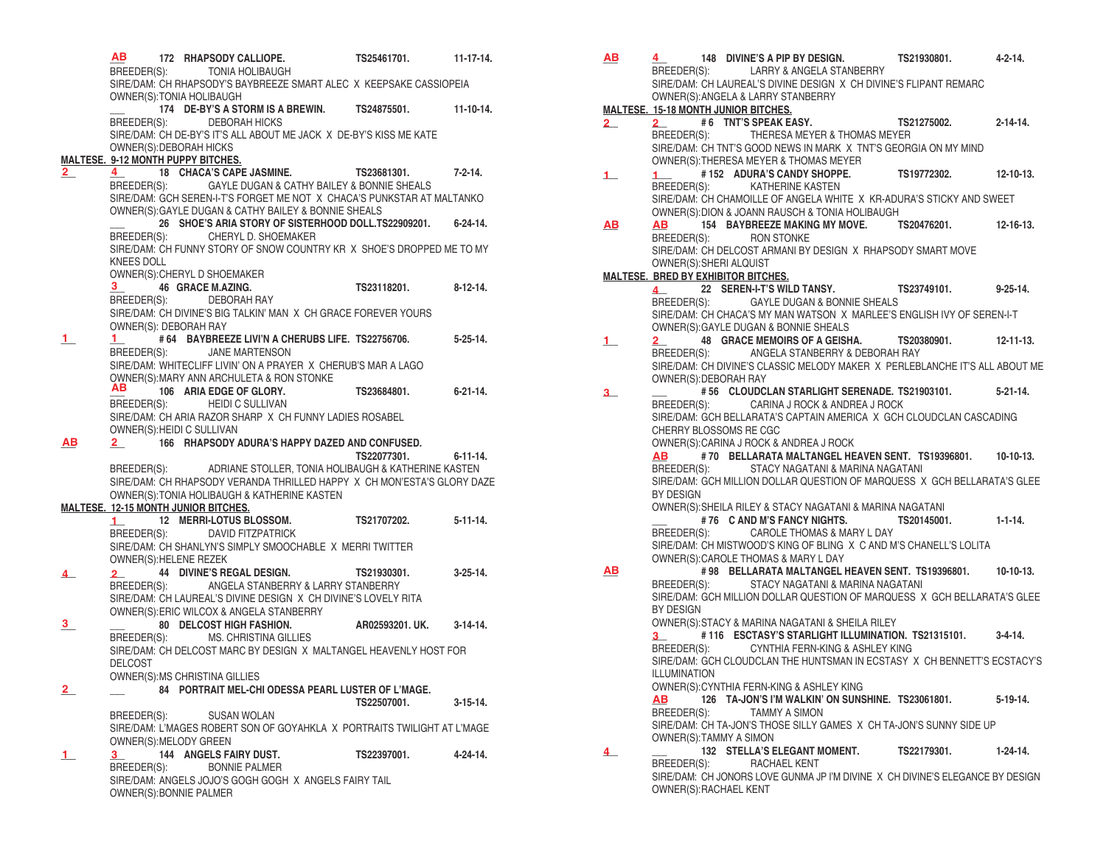|                                             | AВ                                                                              |  |  | 172 RHAPSODY CALLIOPE.                       |                                                          | TS25461701.                                                                                                                      | $11 - 17 - 14$ . |
|---------------------------------------------|---------------------------------------------------------------------------------|--|--|----------------------------------------------|----------------------------------------------------------|----------------------------------------------------------------------------------------------------------------------------------|------------------|
|                                             |                                                                                 |  |  | BREEDER(S): TONIA HOLIBAUGH                  |                                                          |                                                                                                                                  |                  |
|                                             | SIRE/DAM: CH RHAPSODY'S BAYBREEZE SMART ALEC X KEEPSAKE CASSIOPEIA              |  |  |                                              |                                                          |                                                                                                                                  |                  |
|                                             | OWNER(S): TONIA HOLIBAUGH                                                       |  |  |                                              |                                                          |                                                                                                                                  |                  |
|                                             |                                                                                 |  |  |                                              |                                                          | 174 DE-BY'S A STORM IS A BREWIN. TS24875501.                                                                                     | $11 - 10 - 14.$  |
|                                             |                                                                                 |  |  | BREEDER(S): DEBORAH HICKS                    |                                                          |                                                                                                                                  |                  |
|                                             |                                                                                 |  |  |                                              |                                                          | SIRE/DAM: CH DE-BY'S IT'S ALL ABOUT ME JACK X DE-BY'S KISS ME KATE                                                               |                  |
|                                             | OWNER(S): DEBORAH HICKS                                                         |  |  |                                              |                                                          |                                                                                                                                  |                  |
| <b>MALTESE. 9-12 MONTH PUPPY BITCHES.</b>   |                                                                                 |  |  |                                              |                                                          |                                                                                                                                  |                  |
| 2                                           |                                                                                 |  |  | 4 18 CHACA'S CAPE JASMINE.                   |                                                          | TS23681301.                                                                                                                      | 7-2-14.          |
|                                             |                                                                                 |  |  |                                              |                                                          | BREEDER(S): GAYLE DUGAN & CATHY BAILEY & BONNIE SHEALS<br>SIRE/DAM: GCH SEREN-I-T'S FORGET ME NOT X CHACA'S PUNKSTAR AT MALTANKO |                  |
|                                             |                                                                                 |  |  |                                              | OWNER(S): GAYLE DUGAN & CATHY BAILEY & BONNIE SHEALS     |                                                                                                                                  |                  |
|                                             |                                                                                 |  |  |                                              |                                                          | 26 SHOE'S ARIA STORY OF SISTERHOOD DOLL.TS22909201.                                                                              | $6 - 24 - 14$ .  |
|                                             | BREEDER(S):                                                                     |  |  | CHERYL D. SHOEMAKER                          |                                                          |                                                                                                                                  |                  |
|                                             |                                                                                 |  |  |                                              |                                                          | SIRE/DAM: CH FUNNY STORY OF SNOW COUNTRY KR X SHOE'S DROPPED ME TO MY                                                            |                  |
|                                             | KNEES DOLL                                                                      |  |  |                                              |                                                          |                                                                                                                                  |                  |
|                                             |                                                                                 |  |  | OWNER(S): CHERYL D SHOEMAKER                 |                                                          |                                                                                                                                  |                  |
|                                             |                                                                                 |  |  | 3 46 GRACE M.AZING.                          |                                                          | TS23118201.                                                                                                                      | 8-12-14.         |
|                                             |                                                                                 |  |  | BREEDER(S): DEBORAH RAY                      |                                                          |                                                                                                                                  |                  |
|                                             |                                                                                 |  |  |                                              |                                                          | SIRE/DAM: CH DIVINE'S BIG TALKIN' MAN X CH GRACE FOREVER YOURS                                                                   |                  |
|                                             | OWNER(S): DEBORAH RAY                                                           |  |  |                                              |                                                          |                                                                                                                                  |                  |
| 1.                                          |                                                                                 |  |  |                                              |                                                          | 1 # 64 BAYBREEZE LIVI'N A CHERUBS LIFE. TS22756706.                                                                              | $5 - 25 - 14$ .  |
|                                             | BREEDER(S):                                                                     |  |  | JANE MARTENSON                               |                                                          |                                                                                                                                  |                  |
|                                             |                                                                                 |  |  |                                              |                                                          | SIRE/DAM: WHITECLIFF LIVIN' ON A PRAYER X CHERUB'S MAR A LAGO                                                                    |                  |
|                                             |                                                                                 |  |  | OWNER(S): MARY ANN ARCHULETA & RON STONKE    |                                                          |                                                                                                                                  |                  |
|                                             | AВ                                                                              |  |  | 106 ARIA EDGE OF GLORY.                      |                                                          | TS23684801.                                                                                                                      | $6 - 21 - 14$ .  |
|                                             | BREEDER(S):                                                                     |  |  | HEIDI C SULLIVAN                             |                                                          |                                                                                                                                  |                  |
|                                             |                                                                                 |  |  |                                              | SIRE/DAM: CH ARIA RAZOR SHARP X CH FUNNY LADIES ROSABEL  |                                                                                                                                  |                  |
|                                             | OWNER(S): HEIDI C SULLIVAN                                                      |  |  |                                              |                                                          |                                                                                                                                  |                  |
| AВ                                          | $\overline{\mathbf{2}}$ and $\overline{\mathbf{2}}$ and $\overline{\mathbf{2}}$ |  |  |                                              |                                                          | 166 RHAPSODY ADURA'S HAPPY DAZED AND CONFUSED.                                                                                   |                  |
|                                             |                                                                                 |  |  |                                              |                                                          | TS22077301.                                                                                                                      | 6-11-14.         |
|                                             |                                                                                 |  |  |                                              |                                                          | BREEDER(S): ADRIANE STOLLER, TONIA HOLIBAUGH & KATHERINE KASTEN                                                                  |                  |
|                                             |                                                                                 |  |  |                                              |                                                          | SIRE/DAM: CH RHAPSODY VERANDA THRILLED HAPPY X CH MON'ESTA'S GLORY DAZE                                                          |                  |
|                                             |                                                                                 |  |  | OWNER(S): TONIA HOLIBAUGH & KATHERINE KASTEN |                                                          |                                                                                                                                  |                  |
| <b>MALTESE. 12-15 MONTH JUNIOR BITCHES.</b> |                                                                                 |  |  | 12 MERRI-LOTUS BLOSSOM.                      |                                                          | TS21707202.                                                                                                                      | $5 - 11 - 14$ .  |
|                                             | 1                                                                               |  |  | BREEDER(S): DAVID FITZPATRICK                |                                                          |                                                                                                                                  |                  |
|                                             |                                                                                 |  |  |                                              | SIRE/DAM: CH SHANLYN'S SIMPLY SMOOCHABLE X MERRI TWITTER |                                                                                                                                  |                  |
|                                             | OWNER(S): HELENE REZEK                                                          |  |  |                                              |                                                          |                                                                                                                                  |                  |
| 4                                           | 2                                                                               |  |  | 44 DIVINE'S REGAL DESIGN.                    |                                                          | TS21930301.                                                                                                                      | $3 - 25 - 14$ .  |
|                                             | BREEDER(S):                                                                     |  |  |                                              | ANGELA STANBERRY & LARRY STANBERRY                       |                                                                                                                                  |                  |
|                                             |                                                                                 |  |  |                                              |                                                          | SIRE/DAM: CH LAUREAL'S DIVINE DESIGN X CH DIVINE'S LOVELY RITA                                                                   |                  |
|                                             |                                                                                 |  |  | OWNER(S): ERIC WILCOX & ANGELA STANBERRY     |                                                          |                                                                                                                                  |                  |
| $\overline{\mathbf{3}}$                     |                                                                                 |  |  | 80 DELCOST HIGH FASHION.                     |                                                          | AR02593201. UK.                                                                                                                  | $3-14-14$ .      |
|                                             |                                                                                 |  |  | BREEDER(S): MS. CHRISTINA GILLIES            |                                                          |                                                                                                                                  |                  |
|                                             |                                                                                 |  |  |                                              |                                                          | SIRE/DAM: CH DELCOST MARC BY DESIGN X MALTANGEL HEAVENLY HOST FOR                                                                |                  |
|                                             | DELCOST                                                                         |  |  |                                              |                                                          |                                                                                                                                  |                  |
|                                             |                                                                                 |  |  | OWNER(S):MS CHRISTINA GILLIES                |                                                          |                                                                                                                                  |                  |
| $\overline{2}$                              |                                                                                 |  |  |                                              |                                                          | 84 PORTRAIT MEL-CHI ODESSA PEARL LUSTER OF L'MAGE.                                                                               |                  |
|                                             |                                                                                 |  |  |                                              |                                                          | TS22507001.                                                                                                                      | $3 - 15 - 14$ .  |
|                                             |                                                                                 |  |  | BREEDER(S): SUSAN WOLAN                      |                                                          |                                                                                                                                  |                  |
|                                             |                                                                                 |  |  |                                              |                                                          | SIRE/DAM: L'MAGES ROBERT SON OF GOYAHKLA X PORTRAITS TWILIGHT AT L'MAGE                                                          |                  |
|                                             | OWNER(S): MELODY GREEN                                                          |  |  |                                              |                                                          |                                                                                                                                  |                  |
| 1                                           | $3^{\circ}$                                                                     |  |  | <b>144 ANGELS FAIRY DUST.</b>                |                                                          | TS22397001.                                                                                                                      | 4-24-14.         |
|                                             | BREEDER(S):                                                                     |  |  | <b>BONNIE PALMER</b>                         |                                                          |                                                                                                                                  |                  |
|                                             |                                                                                 |  |  |                                              | SIRE/DAM: ANGELS JOJO'S GOGH GOGH X ANGELS FAIRY TAIL    |                                                                                                                                  |                  |
|                                             | OWNER(S): BONNIE PALMER                                                         |  |  |                                              |                                                          |                                                                                                                                  |                  |

| <b>AB</b>        | 148 DIVINE'S A PIP BY DESIGN. TS21930801. 4-2-14.<br>4                                                  |                     |                  |
|------------------|---------------------------------------------------------------------------------------------------------|---------------------|------------------|
|                  | BREEDER(S): LARRY & ANGELA STANBERRY                                                                    |                     |                  |
|                  | SIRE/DAM: CH LAUREAL'S DIVINE DESIGN X CH DIVINE'S FLIPANT REMARC                                       |                     |                  |
|                  | OWNER(S): ANGELA & LARRY STANBERRY<br><b>MALTESE. 15-18 MONTH JUNIOR BITCHES.</b>                       |                     |                  |
| $\mathbf{2}_{-}$ | #6 TNT'S SPEAK EASY.<br>$\overline{2}$ and $\overline{2}$                                               | TS21275002.         | $2 - 14 - 14$    |
|                  | BREEDER(S): THERESA MEYER & THOMAS MEYER                                                                |                     |                  |
|                  | SIRE/DAM: CH TNT'S GOOD NEWS IN MARK X TNT'S GEORGIA ON MY MIND                                         |                     |                  |
|                  | OWNER(S): THERESA MEYER & THOMAS MEYER                                                                  |                     |                  |
| $\perp$          | #152 ADURA'S CANDY SHOPPE.<br>1 <sup>1</sup>                                                            | TS19772302.         | $12 - 10 - 13$ . |
|                  | KATHERINE KASTEN<br>BREEDER(S):<br>SIRE/DAM: CH CHAMOILLE OF ANGELA WHITE X KR-ADURA'S STICKY AND SWEET |                     |                  |
|                  | OWNER(S): DION & JOANN RAUSCH & TONIA HOLIBAUGH                                                         |                     |                  |
| <u>АВ</u>        | 154 BAYBREEZE MAKING MY MOVE. TS20476201. 12-16-13.<br><b>AB</b>                                        |                     |                  |
|                  | <b>RON STONKE</b><br>BREEDER(S):                                                                        |                     |                  |
|                  | SIRE/DAM: CH DELCOST ARMANI BY DESIGN X RHAPSODY SMART MOVE                                             |                     |                  |
|                  | OWNER(S): SHERI ALQUIST                                                                                 |                     |                  |
|                  | <b>MALTESE. BRED BY EXHIBITOR BITCHES.</b><br>22 SEREN-I-T'S WILD TANSY. TS23749101. 9-25-14.           |                     |                  |
|                  | 4<br><b>GAYLE DUGAN &amp; BONNIE SHEALS</b><br>BREEDER(S):                                              |                     |                  |
|                  | SIRE/DAM: CH CHACA'S MY MAN WATSON X MARLEE'S ENGLISH IVY OF SEREN-I-T                                  |                     |                  |
|                  | OWNER(S): GAYLE DUGAN & BONNIE SHEALS                                                                   |                     |                  |
| 1.               | 48 GRACE MEMOIRS OF A GEISHA. TS20380901. 12-11-13.<br>$\mathbf{2}$                                     |                     |                  |
|                  | ANGELA STANBERRY & DEBORAH RAY<br>BREEDER(S):                                                           |                     |                  |
|                  | SIRE/DAM: CH DIVINE'S CLASSIC MELODY MAKER X PERLEBLANCHE IT'S ALL ABOUT ME                             |                     |                  |
|                  | OWNER(S): DEBORAH RAY<br># 56 CLOUDCLAN STARLIGHT SERENADE. TS21903101.                                 |                     | $5 - 21 - 14$ .  |
| 3.               | BREEDER(S): CARINA J ROCK & ANDREA J ROCK                                                               |                     |                  |
|                  | SIRE/DAM: GCH BELLARATA'S CAPTAIN AMERICA X GCH CLOUDCLAN CASCADING                                     |                     |                  |
|                  | CHERRY BLOSSOMS RE CGC                                                                                  |                     |                  |
|                  | OWNER(S): CARINA J ROCK & ANDREA J ROCK                                                                 |                     |                  |
|                  | #70 BELLARATA MALTANGEL HEAVEN SENT. TS19396801. 10-10-13.<br><b>AB</b>                                 |                     |                  |
|                  | BREEDER(S):<br>STACY NAGATANI & MARINA NAGATANI                                                         |                     |                  |
|                  | SIRE/DAM: GCH MILLION DOLLAR QUESTION OF MARQUESS X GCH BELLARATA'S GLEE<br>BY DESIGN                   |                     |                  |
|                  | OWNER(S): SHEILA RILEY & STACY NAGATANI & MARINA NAGATANI                                               |                     |                  |
|                  | # 76 C AND M'S FANCY NIGHTS.                                                                            | TS20145001. 1-1-14. |                  |
|                  | CAROLE THOMAS & MARY L DAY<br>BREEDER(S):                                                               |                     |                  |
|                  | SIRE/DAM: CH MISTWOOD'S KING OF BLING X C AND M'S CHANELL'S LOLITA                                      |                     |                  |
|                  | OWNER(S): CAROLE THOMAS & MARY L DAY                                                                    |                     |                  |
| <u>AB</u>        | #98 BELLARATA MALTANGEL HEAVEN SENT. TS19396801.<br>STACY NAGATANI & MARINA NAGATANI<br>BREEDER(S):     |                     | $10-10-13.$      |
|                  | SIRE/DAM: GCH MILLION DOLLAR QUESTION OF MARQUESS X GCH BELLARATA'S GLEE                                |                     |                  |
|                  | BY DESIGN                                                                                               |                     |                  |
|                  | OWNER(S): STACY & MARINA NAGATANI & SHEILA RILEY                                                        |                     |                  |
|                  | #116 ESCTASY'S STARLIGHT ILLUMINATION. TS21315101. 3-4-14.<br>$3-$                                      |                     |                  |
|                  | CYNTHIA FERN-KING & ASHLEY KING<br>BREEDER(S):                                                          |                     |                  |
|                  | SIRE/DAM: GCH CLOUDCLAN THE HUNTSMAN IN ECSTASY X CH BENNETT'S ECSTACY'S<br>ILLUMINATION                |                     |                  |
|                  | OWNER(S): CYNTHIA FERN-KING & ASHLEY KING                                                               |                     |                  |
|                  | AB<br>126 TA-JON'S I'M WALKIN' ON SUNSHINE. TS23061801.                                                 |                     | 5-19-14.         |
|                  | TAMMY A SIMON<br>BREEDER(S):                                                                            |                     |                  |
|                  | SIRE/DAM: CH TA-JON'S THOSE SILLY GAMES X CH TA-JON'S SUNNY SIDE UP                                     |                     |                  |
|                  | OWNER(S): TAMMY A SIMON                                                                                 |                     |                  |
| 4                | 132 STELLA'S ELEGANT MOMENT. TS22179301.<br>BREEDER(S):<br>RACHAEL KENT                                 |                     | $1 - 24 - 14$ .  |
|                  | SIRE/DAM: CH JONORS LOVE GUNMA JP I'M DIVINE X CH DIVINE'S ELEGANCE BY DESIGN                           |                     |                  |
|                  | OWNER(S): RACHAEL KENT                                                                                  |                     |                  |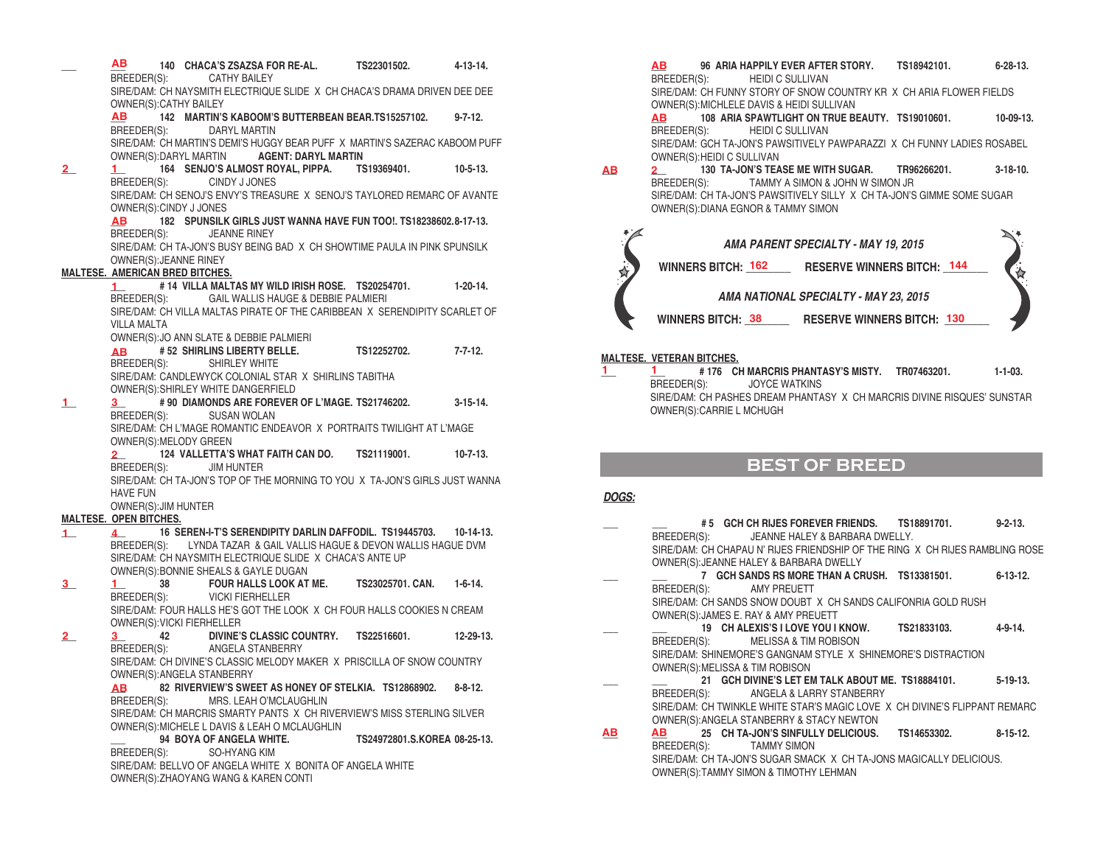**\_\_\_ \_\_\_ 140 CHACA'S ZSAZSA FOR RE-AL. TS22301502. 4-13-14.**  BREEDER(S): SIRE/DAM: CH NAYSMITH ELECTRIQUE SLIDE X CH CHACA'S DRAMA DRIVEN DEE DEE OWNER(S):CATHY BAILEY **\_\_\_ 142 MARTIN'S KABOOM'S BUTTERBEAN BEAR.TS15257102. 9-7-12.** BREEDER(S): DARYL MARTIN SIRE/DAM: CH MARTIN'S DEMI'S HUGGY BEAR PUFF X MARTIN'S SAZERAC KABOOM PUFF  $OWNER(S):DARYL$  MARTIN **\_\_\_ \_\_\_ 164 SENJO'S ALMOST ROYAL, PIPPA. TS19369401. 10-5-13.** BREEDER(S): CINDY J JONES SIRE/DAM: CH SENOJ'S ENVY'S TREASURE X SENOJ'S TAYLORED REMARC OF AVANTE OWNER(S):CINDY J JONES **\_\_\_ 182 SPUNSILK GIRLS JUST WANNA HAVE FUN TOO!. TS18238602.8-17-13. JEANNE RINEY** SIRE/DAM: CH TA-JON'S BUSY BEING BAD X CH SHOWTIME PAULA IN PINK SPUNSILK OWNER(S):JEANNE RINEY **MALTESE. AMERICAN BRED BITCHES. \_\_\_ # 14 VILLA MALTAS MY WILD IRISH ROSE. TS20254701. 1-20-14.** BREEDER(S): GAIL WALLIS HAUGE & DEBBIE PALMIERI SIRE/DAM: CH VILLA MALTAS PIRATE OF THE CARIBBEAN X SERENDIPITY SCARLET OF VILLA MALTA OWNER(S):JO ANN SLATE & DEBBIE PALMIERI **\_\_\_ # 52 SHIRLINS LIBERTY BELLE. TS12252702. 7-7-12.** BREEDER(S): SHIRLEY WHITE SIRE/DAM: CANDLEWYCK COLONIAL STAR X SHIRLINS TABITHA OWNER(S):SHIRLEY WHITE DANGERFIELD **\_\_\_ \_\_\_ # 90 DIAMONDS ARE FOREVER OF L'MAGE. TS21746202. 3-15-14.** BREEDER(S): SUSAN WOLAN SIRE/DAM: CH L'MAGE ROMANTIC ENDEAVOR X PORTRAITS TWILIGHT AT L'MAGE OWNER(S):MELODY GREEN **\_\_\_ 124 VALLETTA'S WHAT FAITH CAN DO. TS21119001. 10-7-13.** BREEDER(S): SIRE/DAM: CH TA-JON'S TOP OF THE MORNING TO YOU X TA-JON'S GIRLS JUST WANNA HAVE FUN OWNER(S):JIM HUNTER **MALTESE. OPEN BITCHES. \_\_\_ \_\_\_ 16 SEREN-I-T'S SERENDIPITY DARLIN DAFFODIL. TS19445703. 10-14-13.**  BREEDER(S): LYNDA TAZAR & GAIL VALLIS HAGUE & DEVON WALLIS HAGUE DVM SIRE/DAM: CH NAYSMITH ELECTRIQUE SLIDE X CHACA'S ANTE UP OWNER(S):BONNIE SHEALS & GAYLE DUGAN<br>1 38 FOUR HALLS LOOK AT **\_\_\_ \_\_\_ 38 FOUR HALLS LOOK AT ME. TS23025701. CAN. 1-6-14.** BREEDER(S): VICKI FIERHELLER SIRE/DAM: FOUR HALLS HE'S GOT THE LOOK X CH FOUR HALLS COOKIES N CREAM OWNER(S):VICKI FIERHELLER **\_\_\_ \_\_\_ 42 DIVINE'S CLASSIC COUNTRY. TS22516601. 12-29-13.** BREEDER(S): ANGELA STANBERRY SIRE/DAM: CH DIVINE'S CLASSIC MELODY MAKER X PRISCILLA OF SNOW COUNTRY OWNER(S):ANGELA STANBERRY **\_\_\_ 82 RIVERVIEW'S SWEET AS HONEY OF STELKIA. TS12868902. 8-8-12.** MRS. LEAH O'MCLAUGHLIN SIRE/DAM: CH MARCRIS SMARTY PANTS X CH RIVERVIEW'S MISS STERLING SILVER OWNER(S): MICHELE L DAVIS & LEAH O MCLAUGHLIN<br>94 BOYA OF ANGELA WHITE. **\_\_\_ 94 BOYA OF ANGELA WHITE. TS24972801.S.KOREA 08-25-13.** BREEDER(S): SO-HYANG KIM SIRE/DAM: BELLVO OF ANGELA WHITE X BONITA OF ANGELA WHITE OWNER(S):ZHAOYANG WANG & KAREN CONTI **AB AB 2 1 AB 1 AB 1 3 2 1 4 3 1 2 3 AB**

**\_\_\_ 96 ARIA HAPPILY EVER AFTER STORY. TS18942101. 6-28-13.** BREEDER(S): HEIDI C SULLIVAN SIRE/DAM: CH FUNNY STORY OF SNOW COUNTRY KR X CH ARIA FLOWER FIELDS OWNER(S):MICHLELE DAVIS & HEIDI SULLIVAN **\_\_\_ 108 ARIA SPAWTLIGHT ON TRUE BEAUTY. TS19010601. 10-09-13.** BREEDER(S): HEIDI C SULLIVAN **AB AB**

SIRE/DAM: GCH TA-JON'S PAWSITIVELY PAWPARAZZI X CH FUNNY LADIES ROSABEL OWNER(S):HEIDI C SULLIVAN

**\_\_\_ \_\_\_ 130 TA-JON'S TEASE ME WITH SUGAR. TR96266201. 3-18-10.** TAMMY A SIMON & JOHN W SIMON JR SIRE/DAM: CH TA-JON'S PAWSITIVELY SILLY X CH TA-JON'S GIMME SOME SUGAR OWNER(S):DIANA EGNOR & TAMMY SIMON **AB 2**



#### **MALTESE. VETERAN BITCHES.**

**\_\_\_ \_\_\_ # 176 CH MARCRIS PHANTASY'S MISTY. TR07463201. 1-1-03.**  BREEDER(S): JOYCE WATKINS SIRE/DAM: CH PASHES DREAM PHANTASY X CH MARCRIS DIVINE RISQUES' SUNSTAR OWNER(S):CARRIE L MCHUGH

## **BEST OF BREED**

#### *DOGS:*

**1 1**

|           |                                 | #5 GCH CH RIJES FOREVER FRIENDS. TS18891701. 9-2-13.                         |         |
|-----------|---------------------------------|------------------------------------------------------------------------------|---------|
|           |                                 | BREEDER(S): JEANNE HALEY & BARBARA DWELLY.                                   |         |
|           |                                 | SIRE/DAM: CH CHAPAU N' RIJES FRIENDSHIP OF THE RING X CH RIJES RAMBLING ROSE |         |
|           |                                 | OWNER(S): JEANNE HALEY & BARBARA DWELLY                                      |         |
|           |                                 | 7 GCH SANDS RS MORE THAN A CRUSH. TS13381501. 6-13-12.                       |         |
|           | BREEDER(S): AMY PREUETT         |                                                                              |         |
|           |                                 | SIRE/DAM: CH SANDS SNOW DOUBT X CH SANDS CALIFONRIA GOLD RUSH                |         |
|           |                                 | OWNER(S): JAMES E. RAY & AMY PREUETT                                         |         |
|           |                                 | 19 CH ALEXIS'S I LOVE YOU I KNOW. TS21833103.                                | 4-9-14. |
|           | BREEDER(S):                     | <b>MELISSA &amp; TIM ROBISON</b>                                             |         |
|           |                                 | SIRE/DAM: SHINEMORE'S GANGNAM STYLE X SHINEMORE'S DISTRACTION                |         |
|           | OWNER(S): MELISSA & TIM ROBISON |                                                                              |         |
|           |                                 | 21 GCH DIVINE'S LET EM TALK ABOUT ME. TS18884101. 5-19-13.                   |         |
|           |                                 | BREEDER(S): ANGELA & LARRY STANBERRY                                         |         |
|           |                                 | SIRE/DAM: CH TWINKLE WHITE STAR'S MAGIC LOVE X CH DIVINE'S FLIPPANT REMARC   |         |
|           |                                 | OWNER(S): ANGELA STANBERRY & STACY NEWTON                                    |         |
| <u>АВ</u> |                                 | AB 25 CH TA-JON'S SINFULLY DELICIOUS. TS14653302. 8-15-12.                   |         |
|           | BREEDER(S): TAMMY SIMON         |                                                                              |         |
|           |                                 | SIRE/DAM: CH TA JON'S SUGAR SMACK X CH TA JONS MAGICALLY DELICIOUS.          |         |

OWNER(S):TAMMY SIMON & TIMOTHY LEHMAN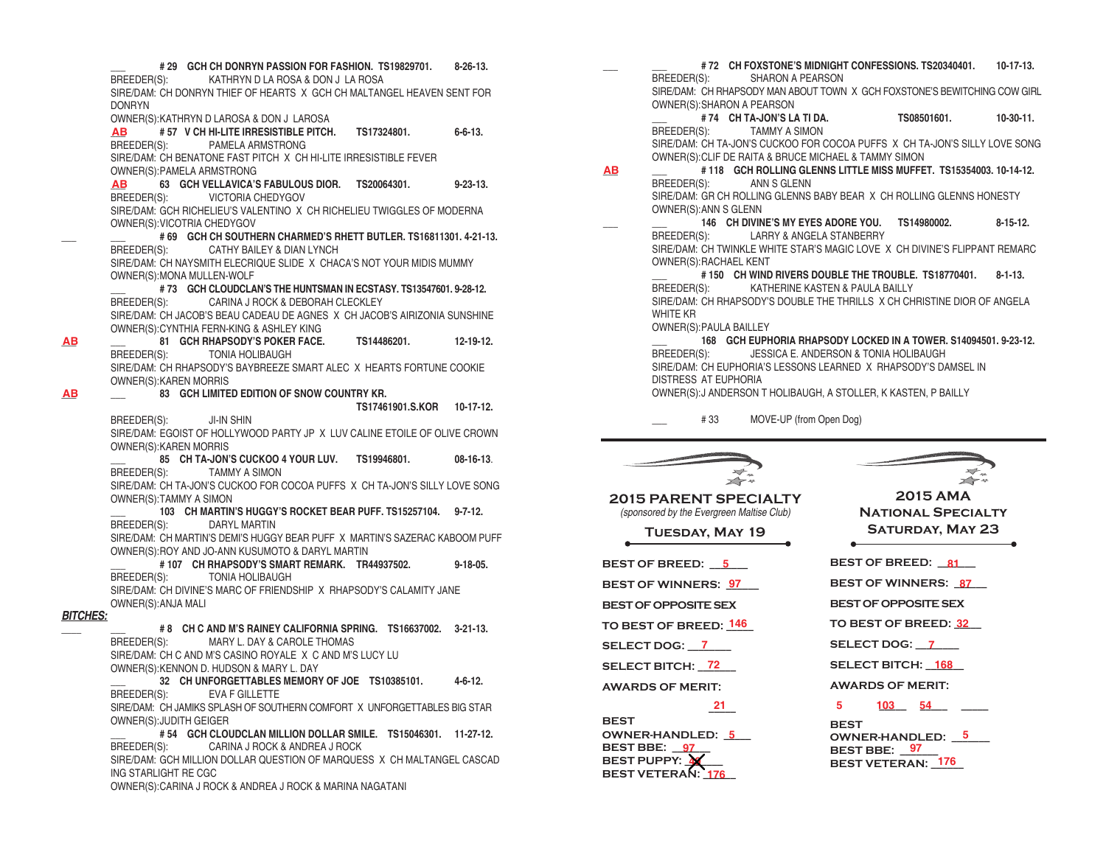**\_\_\_ # 29 GCH CH DONRYN PASSION FOR FASHION. TS19829701. 8-26-13.** BREEDER(S): KATHRYN D LA ROSA & DON J LA ROSA SIRE/DAM: CH DONRYN THIEF OF HEARTS X GCH CH MALTANGEL HEAVEN SENT FOR DONRYN OWNER(S):KATHRYN D LAROSA & DON J LAROSA **\_\_\_ # 57 V CH HI-LITE IRRESISTIBLE PITCH. TS17324801. 6-6-13.** BREEDER(S): PAMELA ARMSTRONG SIRE/DAM: CH BENATONE FAST PITCH X CH HI-LITE IRRESISTIBLE FEVER OWNER(S):PAMELA ARMSTRONG **\_\_\_ 63 GCH VELLAVICA'S FABULOUS DIOR. TS20064301. 9-23-13.** BREEDER(S): VICTORIA CHEDYGOV SIRE/DAM: GCH RICHELIEU'S VALENTINO X CH RICHELIEU TWIGGLES OF MODERNA OWNER(S):VICOTRIA CHEDYGOV **\_\_\_ \_\_\_ # 69 GCH CH SOUTHERN CHARMED'S RHETT BUTLER. TS16811301. 4-21-13.** BREEDER(S): CATHY BAILEY & DIAN LYNCH SIRE/DAM: CH NAYSMITH ELECRIQUE SLIDE X CHACA'S NOT YOUR MIDIS MUMMY OWNER(S):MONA MULLEN-WOLF **\_\_\_ # 73 GCH CLOUDCLAN'S THE HUNTSMAN IN ECSTASY. TS13547601. 9-28-12.** BREEDER(S): CARINA J ROCK & DEBORAH CLECKLEY SIRE/DAM: CH JACOB'S BEAU CADEAU DE AGNES X CH JACOB'S AIRIZONIA SUNSHINE OWNER(S):CYNTHIA FERN-KING & ASHLEY KING **\_\_\_ \_\_\_ 81 GCH RHAPSODY'S POKER FACE. TS14486201. 12-19-12.** TONIA HOLIBAUGH SIRE/DAM: CH RHAPSODY'S BAYBREEZE SMART ALEC X HEARTS FORTUNE COOKIE OWNER(S):KAREN MORRIS **\_\_\_ \_\_\_ 83 GCH LIMITED EDITION OF SNOW COUNTRY KR. TS17461901.S.KOR 10-17-12.** BREEDER(S): JI-IN SHIN SIRE/DAM: EGOIST OF HOLLYWOOD PARTY JP X LUV CALINE ETOILE OF OLIVE CROWN OWNER(S):KAREN MORRIS **\_\_\_ 85 CH TA-JON'S CUCKOO 4 YOUR LUV. TS19946801. 08-16-13**. BREEDER(S): TAMMY A SIMON SIRE/DAM: CH TA-JON'S CUCKOO FOR COCOA PUFFS X CH TA-JON'S SILLY LOVE SONG OWNER(S):TAMMY A SIMON **\_\_\_ 103 CH MARTIN'S HUGGY'S ROCKET BEAR PUFF. TS15257104. 9-7-12.** BREEDER(S): DARYL MARTIN SIRE/DAM: CH MARTIN'S DEMI'S HUGGY BEAR PUFF X MARTIN'S SAZERAC KABOOM PUFF OWNER(S):ROY AND JO-ANN KUSUMOTO & DARYL MARTIN **\_\_\_ # 107 CH RHAPSODY'S SMART REMARK. TR44937502. 9-18-05.** BREEDER(S): TONIA HOLIBAUGH SIRE/DAM: CH DIVINE'S MARC OF FRIENDSHIP X RHAPSODY'S CALAMITY JANE OWNER(S):ANJA MALI *BITCHES:* **\_\_\_\_ \_\_\_ # 8 CH C AND M'S RAINEY CALIFORNIA SPRING. TS16637002. 3-21-13.** BREEDER(S): MARY L. DAY & CAROLE THOMAS SIRE/DAM: CH C AND M'S CASINO ROYALE X C AND M'S LUCY LU OWNER(S):KENNON D. HUDSON & MARY L. DAY **\_\_\_ 32 CH UNFORGETTABLES MEMORY OF JOE TS10385101. 4-6-12.** BREEDER(S): EVA F GILLETTE SIRE/DAM: CH JAMIKS SPLASH OF SOUTHERN COMFORT X UNFORGETTABLES BIG STAR OWNER(S):JUDITH GEIGER **\_\_\_ # 54 GCH CLOUDCLAN MILLION DOLLAR SMILE. TS15046301. 11-27-12.** BREEDER(S): CARINA J ROCK & ANDREA J ROCK SIRE/DAM: GCH MILLION DOLLAR QUESTION OF MARQUESS X CH MALTANGEL CASCAD ING STARLIGHT RE CGC **AB AB**

**AB**

**AB**

OWNER(S):CARINA J ROCK & ANDREA J ROCK & MARINA NAGATANI

**\_\_\_ \_\_\_ # 72 CH FOXSTONE'S MIDNIGHT CONFESSIONS. TS20340401. 10-17-13.** BREEDER(S): SHARON A PEARSON SIRE/DAM: CH RHAPSODY MAN ABOUT TOWN X GCH FOXSTONE'S BEWITCHING COW GIRL OWNER(S):SHARON A PEARSON **\_\_\_ # 74 CH TA-JON'S LA TI DA. TS08501601. 10-30-11.**

BREEDER(S): TAMMY A SIMON SIRE/DAM: CH TA-JON'S CUCKOO FOR COCOA PUFFS X CH TA-JON'S SILLY LOVE SONG OWNER(S):CLIF DE RAITA & BRUCE MICHAEL & TAMMY SIMON

**\_\_\_ \_\_\_ # 118 GCH ROLLING GLENNS LITTLE MISS MUFFET. TS15354003. 10-14-12.** BREEDER(S): ANN S GLENN SIRE/DAM: GR CH ROLLING GLENNS BABY BEAR X CH ROLLING GLENNS HONESTY OWNER(S):ANN S GLENN **AB**

**\_\_\_ \_\_\_ 146 CH DIVINE'S MY EYES ADORE YOU. TS14980002. 8-15-12.** BREEDER(S): LARRY & ANGELA STANBERRY

SIRE/DAM: CH TWINKLE WHITE STAR'S MAGIC LOVE X CH DIVINE'S FLIPPANT REMARC OWNER(S):RACHAEL KENT

**\_\_\_ # 150 CH WIND RIVERS DOUBLE THE TROUBLE. TS18770401. 8-1-13.** BREEDER(S): KATHERINE KASTEN & PAULA BAILLY SIRE/DAM: CH RHAPSODY'S DOUBLE THE THRILLS X CH CHRISTINE DIOR OF ANGELA WHITE KR

OWNER(S):PAULA BAILLEY

**\_\_\_ 168 GCH EUPHORIA RHAPSODY LOCKED IN A TOWER. S14094501. 9-23-12.** BREEDER(S): JESSICA E. ANDERSON & TONIA HOLIBAUGH SIRE/DAM: CH EUPHORIA'S LESSONS LEARNED X RHAPSODY'S DAMSEL IN DISTRESS AT EUPHORIA OWNER(S):J ANDERSON T HOLIBAUGH, A STOLLER, K KASTEN, P BAILLY

\_\_\_ # 33 MOVE-UP (from Open Dog)

 $\geq$ **2015 PARENT SPECIALTY** *(sponsored by the Evergreen Maltise Club)*

**Tuesday, May 19**

**BEST OF BREED: \_\_\_\_\_\_\_ 5 81**

BEST OF WINNERS:  $\frac{97}{27}$  BEST OF WINNERS: <u>87</u>

**BEST OF OPPOSITE SEX** 

**SELECT DOG: \_\_\_\_\_\_\_\_ 7 7**

**SELECT BITCH: \_\_\_\_\_\_\_ 72 168**

**AWARDS OF MERIT:** 

 $\frac{21}{2}$ **BEST OWNER-HANDLED: 5 BEST BBE: 97 BEST PUPPY: 4 BEST VETERAN: \_\_\_\_\_\_ 176**

 $\rightarrow$ 

**2015 AMA National Specialty Saturday, May 23**

**TO BEST OF BREED: \_\_\_\_\_ 146 32 BEST OF BREED: 81 BEST OF WINNERS: 87 BEST OF OPPOSITE SEX TO BEST OF BREED: 32** SELECT DOG: 7 SELECT BITCH: **168 AWARDS OF MERIT:** 

**21 103 54 103 BEST**  OWNER-HANDLED: <u>5</u> OWNER-HANDLED: <u>5</u> **BEST BBE:** 97 **BEST VETERAN: 176**